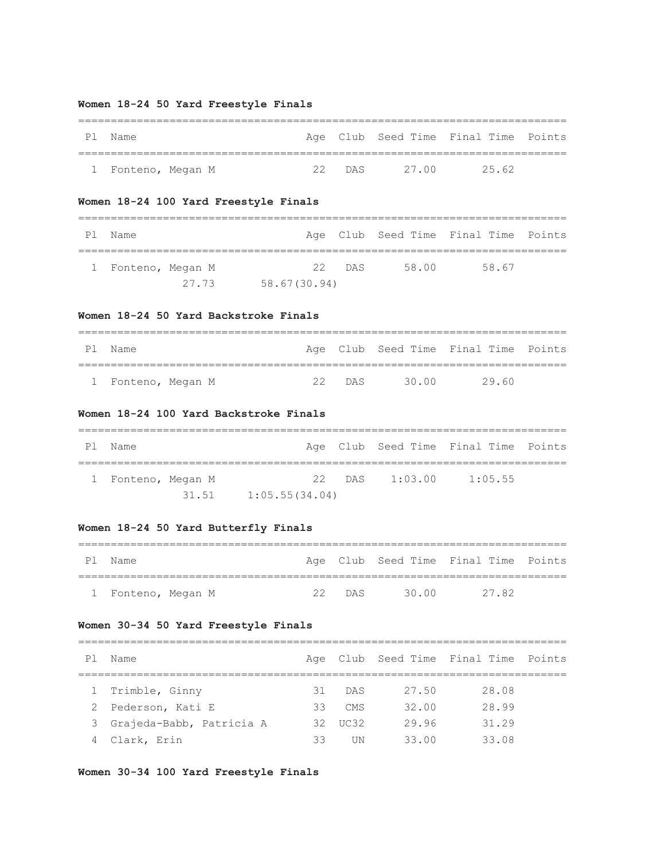## **Women 18-24 50 Yard Freestyle Finals**

| P1 | Name               |        |       | Age Club Seed Time Final Time Points |  |
|----|--------------------|--------|-------|--------------------------------------|--|
|    |                    |        |       |                                      |  |
|    | 1 Fonteno, Megan M | 22 DAS | 27 00 | 25.62                                |  |

## **Women 18-24 100 Yard Freestyle Finals**

| PI. | Name               |              |        |       | Age Club Seed Time Final Time Points |  |  |  |  |
|-----|--------------------|--------------|--------|-------|--------------------------------------|--|--|--|--|
|     | 1 Fonteno, Megan M |              | 22 DAS | 58.00 | 58.67                                |  |  |  |  |
|     | 27.73              | 58.67(30.94) |        |       |                                      |  |  |  |  |

### **Women 18-24 50 Yard Backstroke Finals**

| P1 | Name               |        |       | Age Club Seed Time Final Time Points |
|----|--------------------|--------|-------|--------------------------------------|
|    |                    |        |       |                                      |
|    | 1 Fonteno, Megan M | 22 DAS | 30.00 | 29 60                                |

## **Women 18-24 100 Yard Backstroke Finals**

| Pl Name            |       |                |  |  |                | Age Club Seed Time Final Time Points |  |  |
|--------------------|-------|----------------|--|--|----------------|--------------------------------------|--|--|
| 1 Fonteno, Megan M |       |                |  |  | 22 DAS 1:03.00 | 1:05.55                              |  |  |
|                    | 31.51 | 1:05.55(34.04) |  |  |                |                                      |  |  |

## **Women 18-24 50 Yard Butterfly Finals**

| P 1 | Name               |  |        |       | Age Club Seed Time Final Time Points |  |
|-----|--------------------|--|--------|-------|--------------------------------------|--|
|     |                    |  |        |       |                                      |  |
|     | 1 Fonteno, Megan M |  | 22 DAS | 30 00 | 2782                                 |  |

## **Women 30-34 50 Yard Freestyle Finals**

| P1 | Name                       |     |        |        | Age Club Seed Time Final Time Points |  |  |  |  |  |
|----|----------------------------|-----|--------|--------|--------------------------------------|--|--|--|--|--|
|    |                            |     |        |        |                                      |  |  |  |  |  |
|    | Trimble, Ginny             | 31  | DAS    | 27.50  | 28.08                                |  |  |  |  |  |
|    | 2 Pederson, Kati E         | 33  | CMS    | 32.00  | 28.99                                |  |  |  |  |  |
|    | 3 Grajeda-Babb, Patricia A | 32. | TIC.32 | 29.96  | 31.29                                |  |  |  |  |  |
|    | 4 Clark, Erin              | 33  | TIN    | 33 U U | 33 O.8                               |  |  |  |  |  |

## **Women 30-34 100 Yard Freestyle Finals**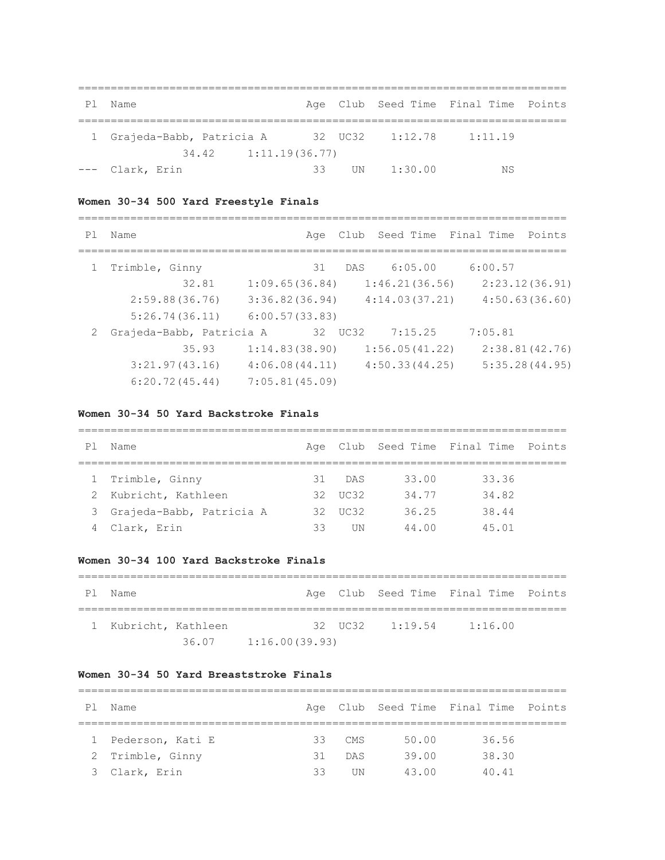| P1 | Name                       |    |    |                 | Age Club Seed Time Final Time Points |  |
|----|----------------------------|----|----|-----------------|--------------------------------------|--|
|    |                            |    |    |                 |                                      |  |
|    | 1 Grajeda-Babb, Patricia A |    |    | 32 UC32 1:12.78 | 1:11.19                              |  |
|    | $34.42$ 1:11.19(36.77)     |    |    |                 |                                      |  |
|    | --- Clark, Erin            | ろろ | UN | 1:30.00         | ΝS                                   |  |

## **Women 30-34 500 Yard Freestyle Finals**

| P <sub>1</sub> | Name                       |                |    |         |                | Age Club Seed Time Final Time Points |                |
|----------------|----------------------------|----------------|----|---------|----------------|--------------------------------------|----------------|
|                | Trimble, Ginny             |                | 31 | DAS     | 6:05.00        | 6:00.57                              |                |
|                | 32.81                      | 1:09.65(36.84) |    |         | 1:46.21(36.56) |                                      | 2:23.12(36.91) |
|                | 2:59.88(36.76)             | 3:36.82(36.94) |    |         | 4:14.03(37.21) |                                      | 4:50.63(36.60) |
|                | 5:26.74(36.11)             | 6:00.57(33.83) |    |         |                |                                      |                |
|                | 2 Grajeda-Babb, Patricia A |                |    | 32 UC32 | 7:15.25        | 7:05.81                              |                |
|                | 35.93                      | 1:14.83(38.90) |    |         | 1:56.05(41.22) |                                      | 2:38.81(42.76) |
|                | 3:21.97(43.16)             | 4:06.08(44.11) |    |         | 4:50.33(44.25) |                                      | 5:35.28(44.95) |
|                | 6:20.72(45.44)             | 7:05.81(45.09) |    |         |                |                                      |                |

# **Women 30-34 50 Yard Backstroke Finals**

| P 1 | Name                       |    |         |       | Age Club Seed Time Final Time Points |  |  |  |  |  |
|-----|----------------------------|----|---------|-------|--------------------------------------|--|--|--|--|--|
|     |                            |    |         |       |                                      |  |  |  |  |  |
|     | 1 Trimble, Ginny           | 31 | DAS     | 33.00 | 33.36                                |  |  |  |  |  |
|     | 2 Kubricht, Kathleen       |    | 32 UC32 | 34.77 | 34.82                                |  |  |  |  |  |
|     | 3 Grajeda-Babb, Patricia A |    | 32 UC32 | 36.25 | 38.44                                |  |  |  |  |  |
|     | 4 Clark, Erin              | 33 | TIN     | 44.00 | 45 01                                |  |  |  |  |  |

## **Women 30-34 100 Yard Backstroke Finals**

| P1 | Name                 |       |                |  |                                              | Age Club Seed Time Final Time Points |  |  |  |
|----|----------------------|-------|----------------|--|----------------------------------------------|--------------------------------------|--|--|--|
|    | 1 Kubricht, Kathleen |       |                |  | $32 \t\text{H} \text{C} \text{3}2 \t1:19.54$ | 1:16.00                              |  |  |  |
|    |                      | 36.07 | 1:16.00(39.93) |  |                                              |                                      |  |  |  |

### **Women 30-34 50 Yard Breaststroke Finals**

| Ρl | Name               |    |            |       | Age Club Seed Time Final Time Points |  |  |  |  |  |
|----|--------------------|----|------------|-------|--------------------------------------|--|--|--|--|--|
|    |                    |    |            |       |                                      |  |  |  |  |  |
|    | 1 Pederson, Kati E |    | $33$ CMS   | 50.00 | 36.56                                |  |  |  |  |  |
|    | 2 Trimble, Ginny   | 31 | <b>DAS</b> | 39.00 | 38.30                                |  |  |  |  |  |
|    | 3 Clark, Erin      | ろろ | TIN        | 43.00 | 40.41                                |  |  |  |  |  |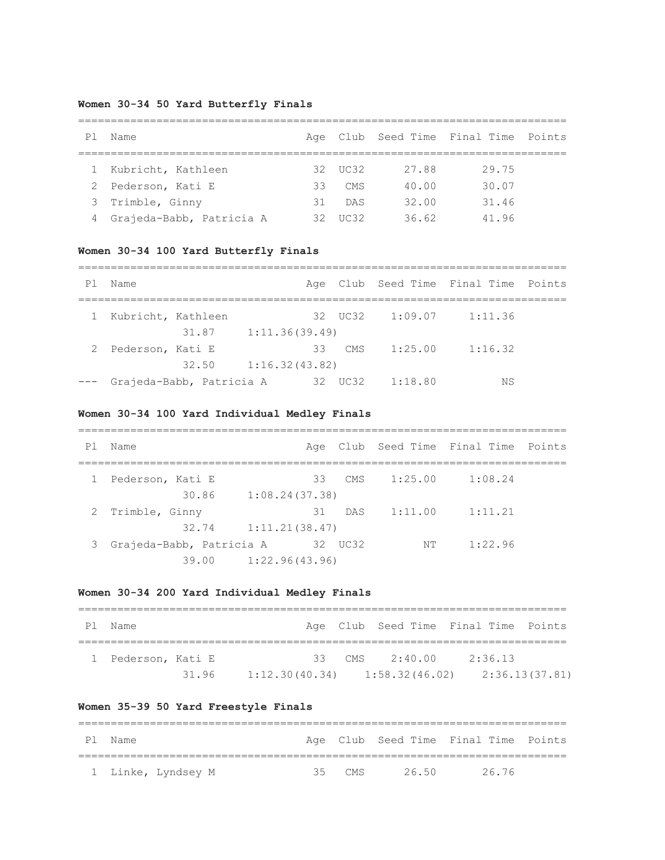## **Women 30-34 50 Yard Butterfly Finals**

| P <sub>1</sub> | Name                       |     |         |       | Age Club Seed Time Final Time Points |  |  |  |  |  |
|----------------|----------------------------|-----|---------|-------|--------------------------------------|--|--|--|--|--|
|                |                            |     |         |       |                                      |  |  |  |  |  |
| $\mathbf{1}$   | Kubricht, Kathleen         |     | 32 UC32 | 27.88 | 29.75                                |  |  |  |  |  |
| 2              | Pederson, Kati E           | 33  | CMS     | 40.00 | 30.07                                |  |  |  |  |  |
|                | 3 Trimble, Ginny           | 31  | DAS     | 32.00 | 31.46                                |  |  |  |  |  |
|                | 4 Grajeda-Babb, Patricia A | 32. | TIC32   | 36.62 | 41.96                                |  |  |  |  |  |

## **Women 30-34 100 Yard Butterfly Finals**

| P1 | Name               |                              |                |    |         |         | Age Club Seed Time Final Time Points |  |
|----|--------------------|------------------------------|----------------|----|---------|---------|--------------------------------------|--|
|    | Kubricht, Kathleen |                              |                |    | 32 UC32 | 1:09.07 | 1:11.36                              |  |
|    |                    | 31.87                        | 1:11.36(39.49) |    |         |         |                                      |  |
|    | Pederson, Kati E   |                              |                | 33 | CMS     | 1:25.00 | 1:16.32                              |  |
|    |                    | 32.50                        | 1:16.32(43.82) |    |         |         |                                      |  |
|    |                    | --- Grajeda-Babb, Patricia A |                | 32 | UC32    | 1:18.80 | ΝS                                   |  |

===========================================================================

## **Women 30-34 100 Yard Individual Medley Finals**

| P1           | Name                       |                |         |         | Age Club Seed Time Final Time Points |  |
|--------------|----------------------------|----------------|---------|---------|--------------------------------------|--|
|              |                            |                |         |         |                                      |  |
| $\mathbf{1}$ | Pederson, Kati E           | 33             | CMS     | 1:25.00 | 1:08.24                              |  |
|              | 30.86                      | 1:08.24(37.38) |         |         |                                      |  |
|              | 2 Trimble, Ginny           | 31             | DAS     | 1:11.00 | 1:11.21                              |  |
|              | 32.74                      | 1:11.21(38.47) |         |         |                                      |  |
|              | 3 Grajeda-Babb, Patricia A |                | 32 UC32 | NT.     | 1:22.96                              |  |
|              | 39.00                      | 1:22.96(43.96) |         |         |                                      |  |

## **Women 30-34 200 Yard Individual Medley Finals**

| ΡI | Name               |       |                                   | Age Club Seed Time Final Time Points |         |                |
|----|--------------------|-------|-----------------------------------|--------------------------------------|---------|----------------|
|    |                    |       |                                   |                                      |         |                |
|    | 1 Pederson, Kati E |       |                                   | 33 CMS $2:40.00$                     | 2:36.13 |                |
|    |                    | 31.96 | $1:12.30(40.34)$ $1:58.32(46.02)$ |                                      |         | 2:36.13(37.81) |

## **Women 35-39 50 Yard Freestyle Finals**

| P 1 | Name |                    |          |      | Age Club Seed Time Final Time Points |  |
|-----|------|--------------------|----------|------|--------------------------------------|--|
|     |      |                    |          |      |                                      |  |
|     |      | 1 Linke, Lyndsey M | 35 $CMS$ | 2650 | 2676                                 |  |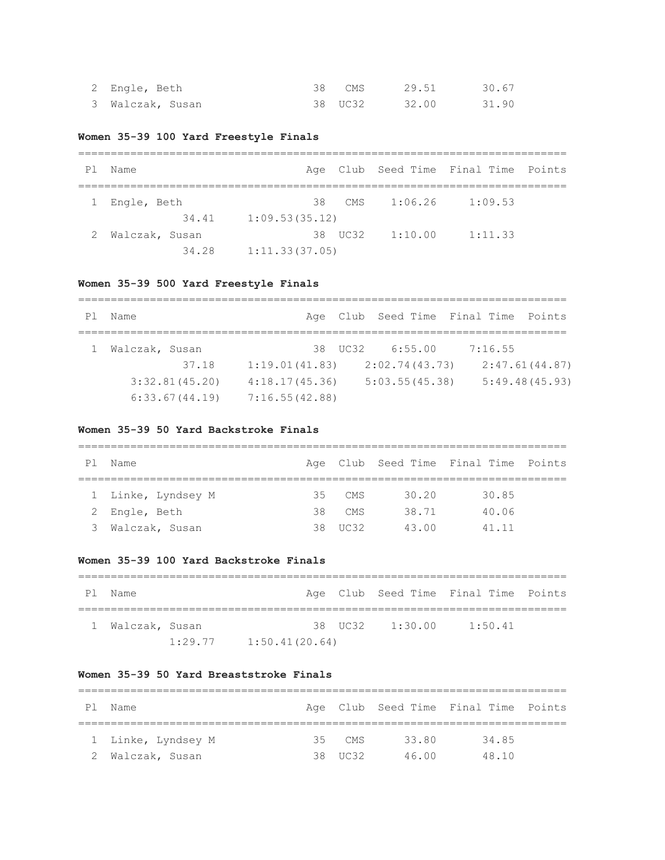| 2 Engle, Beth    | 38 CMS  | 29.51 | 30.67 |
|------------------|---------|-------|-------|
| 3 Walczak, Susan | 38 UC32 | 32.00 | 31.90 |

## **Women 35-39 100 Yard Freestyle Finals**

| P1 | Name           |                |        |                 | Age Club Seed Time Final Time Points |  |  |  |
|----|----------------|----------------|--------|-----------------|--------------------------------------|--|--|--|
|    | 1 Engle, Beth  |                | 38 CMS | 1:06.26         | 1:09.53                              |  |  |  |
|    | 34.41          | 1:09.53(35.12) |        |                 |                                      |  |  |  |
|    | Walczak, Susan |                |        | 38 UC32 1:10.00 | 1:11.33                              |  |  |  |
|    | 34.28          | 1:11.33(37.05) |        |                 |                                      |  |  |  |

## **Women 35-39 500 Yard Freestyle Finals**

| P1 | Name           |                |                 | Age Club Seed Time Final Time Points |  |
|----|----------------|----------------|-----------------|--------------------------------------|--|
|    |                |                |                 |                                      |  |
|    | Walczak, Susan |                | 38 UC32 6:55.00 | 7:16.55                              |  |
|    | 37.18          | 1:19.01(41.83) | 2:02.74(43.73)  | 2:47.61(44.87)                       |  |
|    | 3:32.81(45.20) | 4:18.17(45.36) | 5:03.55(45.38)  | 5:49.48(45.93)                       |  |
|    | 6:33.67(44.19) | 7:16.55(42.88) |                 |                                      |  |

### **Women 35-39 50 Yard Backstroke Finals**

| P1 | Name               |     |         |       | Age Club Seed Time Final Time Points |  |  |  |  |  |
|----|--------------------|-----|---------|-------|--------------------------------------|--|--|--|--|--|
|    |                    |     |         |       |                                      |  |  |  |  |  |
|    | 1 Linke, Lyndsey M | 35. | CMS.    | 30.20 | 30.85                                |  |  |  |  |  |
|    | 2 Engle, Beth      | 38  | CMS     | 38.71 | 40.06                                |  |  |  |  |  |
| 3  | Walczak, Susan     |     | 38 UC32 | 43.00 | 41.11                                |  |  |  |  |  |

### **Women 35-39 100 Yard Backstroke Finals**

| Pl Name          |         |                |  |                 | Age Club Seed Time Final Time Points |  |  |
|------------------|---------|----------------|--|-----------------|--------------------------------------|--|--|
| 1 Walczak, Susan |         |                |  | 38 UC32 1:30.00 | 1:50.41                              |  |  |
|                  | 1:29.77 | 1:50.41(20.64) |  |                 |                                      |  |  |

### **Women 35-39 50 Yard Breaststroke Finals**

| P1 | Name               |  |          |       | Age Club Seed Time Final Time Points |  |  |  |  |
|----|--------------------|--|----------|-------|--------------------------------------|--|--|--|--|
|    |                    |  |          |       |                                      |  |  |  |  |
|    | 1 Linke, Lyndsey M |  | $35$ CMS | 33.80 | 34.85                                |  |  |  |  |
|    | 2 Walczak, Susan   |  | 38 UC32  | 46 00 | 48.10                                |  |  |  |  |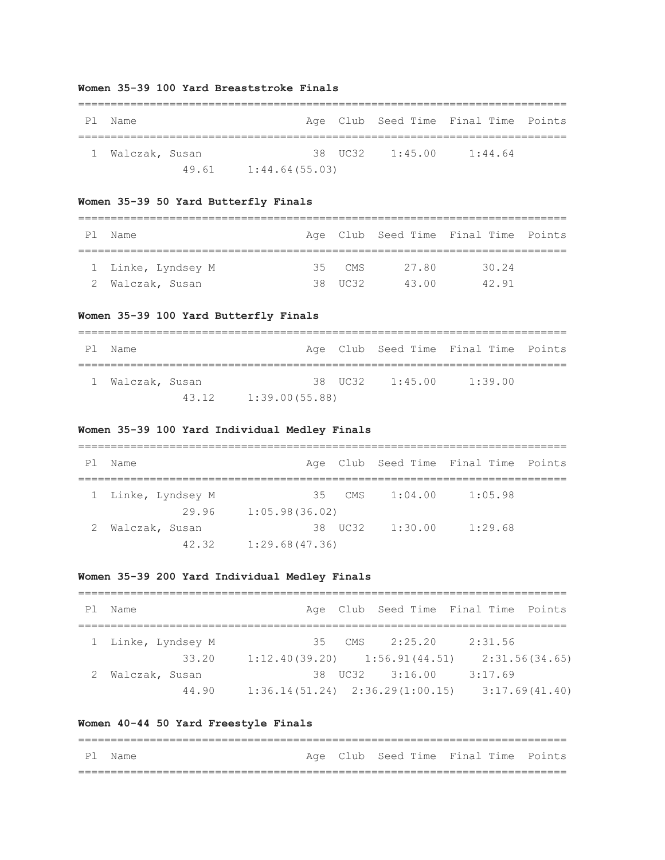### **Women 35-39 100 Yard Breaststroke Finals**

| P1 | . Name           |       |                |                 | Age Club Seed Time Final Time Points |  |
|----|------------------|-------|----------------|-----------------|--------------------------------------|--|
|    | 1 Walczak, Susan |       |                | 38 UC32 1:45.00 | 1:44.64                              |  |
|    |                  | 49.61 | 1:44.64(55.03) |                 |                                      |  |

## **Women 35-39 50 Yard Butterfly Finals**

| PI. | Name               |  |          |       | Age Club Seed Time Final Time Points |  |  |  |  |  |
|-----|--------------------|--|----------|-------|--------------------------------------|--|--|--|--|--|
|     |                    |  |          |       |                                      |  |  |  |  |  |
|     | 1 Linke, Lyndsey M |  | $35$ CMS | 27.80 | 30.24                                |  |  |  |  |  |
|     | 2 Walczak, Susan   |  | 38 UC32  | 43 00 | 42.91                                |  |  |  |  |  |

## **Women 35-39 100 Yard Butterfly Finals**

| Ρl | Name             |       |                |  |                 | Age Club Seed Time Final Time Points |  |  |  |
|----|------------------|-------|----------------|--|-----------------|--------------------------------------|--|--|--|
|    |                  |       |                |  |                 |                                      |  |  |  |
|    | 1 Walczak, Susan |       |                |  | 38 UC32 1:45.00 | 1:39.00                              |  |  |  |
|    |                  | 43.12 | 1:39.00(55.88) |  |                 |                                      |  |  |  |

## **Women 35-39 100 Yard Individual Medley Finals**

| Ρl | Name               |                |         |         | Age Club Seed Time Final Time Points |  |  |  |  |
|----|--------------------|----------------|---------|---------|--------------------------------------|--|--|--|--|
|    | 1 Linke, Lyndsey M | 35             | CMS.    | 1:04.00 | 1:05.98                              |  |  |  |  |
|    | 29.96              | 1:05.98(36.02) |         |         |                                      |  |  |  |  |
|    | Walczak, Susan     |                | 38 UC32 | 1:30.00 | 1:29.68                              |  |  |  |  |
|    | 42.32              | 1:29.68(47.36) |         |         |                                      |  |  |  |  |

## **Women 35-39 200 Yard Individual Medley Finals**

| P1 | Name               |                                     |          |                 | Age Club Seed Time Final Time Points |  |
|----|--------------------|-------------------------------------|----------|-----------------|--------------------------------------|--|
|    |                    |                                     |          |                 |                                      |  |
|    | 1 Linke, Lyndsey M |                                     | $35$ CMS | 2:25.20         | 2:31.56                              |  |
|    | 33.20              | $1:12.40(39.20)$ $1:56.91(44.51)$   |          |                 | 2:31.56(34.65)                       |  |
|    | Walczak, Susan     |                                     |          | 38 UC32 3:16.00 | 3:17.69                              |  |
|    | 44.90              | $1:36.14(51.24)$ $2:36.29(1:00.15)$ |          |                 | 3:17.69(41.40)                       |  |

## **Women 40-44 50 Yard Freestyle Finals**

| Pl Name |  | Age Club Seed Time Final Time Points |  |
|---------|--|--------------------------------------|--|
|         |  |                                      |  |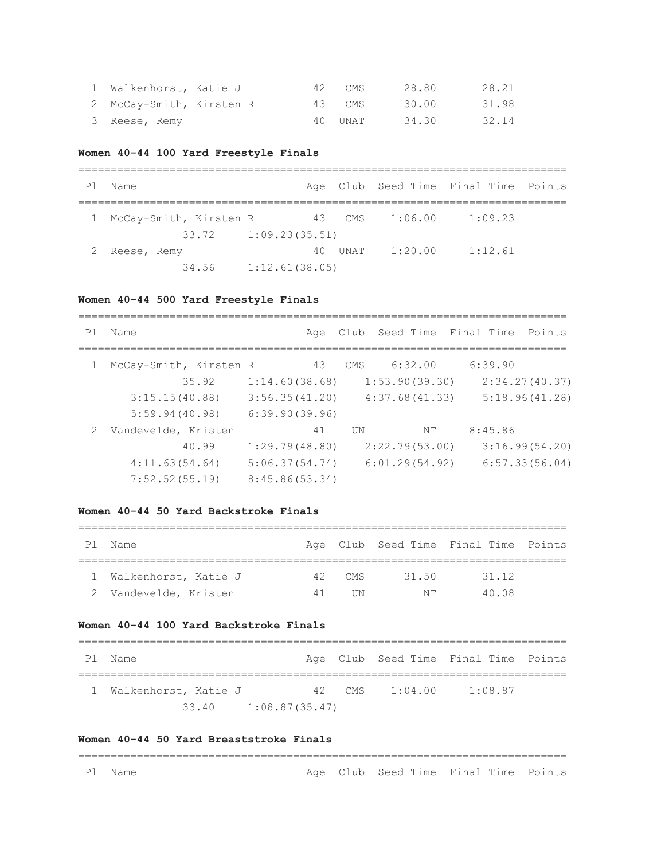| 1 Walkenhorst, Katie J   |  | 42 CMS  | 28.80 | 28.21 |
|--------------------------|--|---------|-------|-------|
| 2 McCay-Smith, Kirsten R |  | 43 CMS  | 30.00 | 31.98 |
| 3 Reese, Remy            |  | 40 UNAT | 34.30 | 32.14 |

#### **Women 40-44 100 Yard Freestyle Finals**

| P <sub>1</sub> | Name                   |                        |         |         | Age Club Seed Time Final Time Points |  |
|----------------|------------------------|------------------------|---------|---------|--------------------------------------|--|
|                | McCay-Smith, Kirsten R |                        | 43 CMS  | 1:06.00 | 1:09.23                              |  |
|                |                        | $33.72$ 1:09.23(35.51) |         |         |                                      |  |
|                | Reese, Remy            |                        | 40 UNAT | 1:20.00 | 1:12.61                              |  |
|                | 34.56                  | 1:12.61(38.05)         |         |         |                                      |  |

#### **Women 40-44 500 Yard Freestyle Finals**

=========================================================================== Pl Name Age Club Seed Time Final Time Points =========================================================================== 1 McCay-Smith, Kirsten R 43 CMS 6:32.00 6:39.90 35.92 1:14.60(38.68) 1:53.90(39.30) 2:34.27(40.37) 3:15.15(40.88) 3:56.35(41.20) 4:37.68(41.33) 5:18.96(41.28) 5:59.94(40.98) 6:39.90(39.96) 2 Vandevelde, Kristen 41 UN NT 8:45.86 40.99 1:29.79(48.80) 2:22.79(53.00) 3:16.99(54.20) 4:11.63(54.64) 5:06.37(54.74) 6:01.29(54.92) 6:57.33(56.04) 7:52.52(55.19) 8:45.86(53.34)

### **Women 40-44 50 Yard Backstroke Finals**

| Ρl | Name                   |    |        |       | Age Club Seed Time Final Time Points |  |  |  |  |  |
|----|------------------------|----|--------|-------|--------------------------------------|--|--|--|--|--|
|    |                        |    |        |       |                                      |  |  |  |  |  |
|    | 1 Walkenhorst, Katie J |    | 42 CMS | 31.50 | 31.12                                |  |  |  |  |  |
|    | 2 Vandevelde, Kristen  | 41 | ПN     | NΤ    | 40 08                                |  |  |  |  |  |

#### **Women 40-44 100 Yard Backstroke Finals**

| Pl Name                |  |  |                  | Age Club Seed Time Final Time Points |  |  |  |  |
|------------------------|--|--|------------------|--------------------------------------|--|--|--|--|
| 1 Walkenhorst, Katie J |  |  | 42 CMS $1:04.00$ | 1:08.87                              |  |  |  |  |
|                        |  |  |                  |                                      |  |  |  |  |

#### **Women 40-44 50 Yard Breaststroke Finals**

# ===========================================================================

Pl Name **Age Club Seed Time Final Time Points**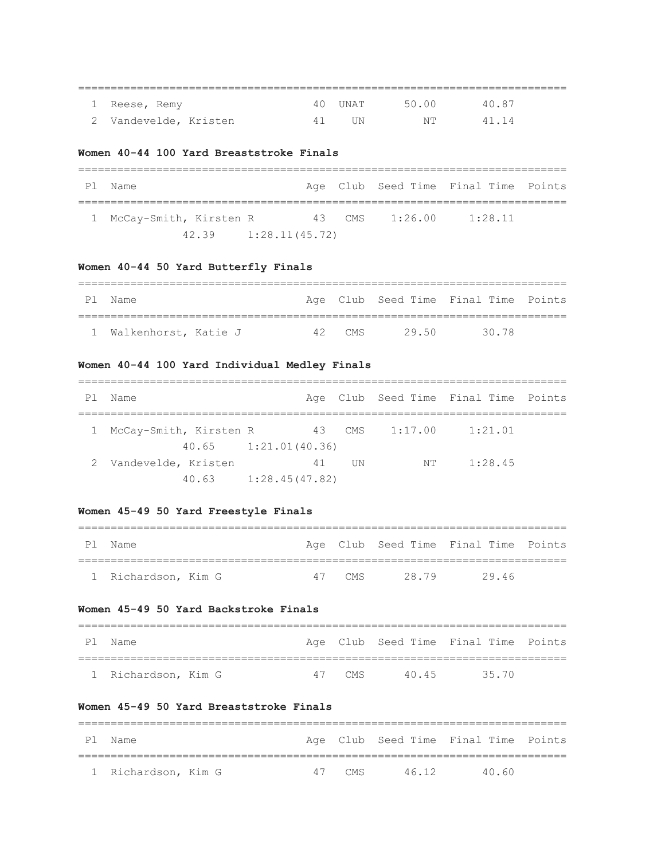| 1 Reese, Remy         |    | 40 UNAT | 50.00 | 40.87 |  |
|-----------------------|----|---------|-------|-------|--|
| 2 Vandevelde, Kristen | 41 | TJN.    | NT L  | 41.14 |  |

===========================================================================

### **Women 40-44 100 Yard Breaststroke Finals**

| Ρl | Name                     |                          |  |                | Age Club Seed Time Final Time Points |  |  |  |  |
|----|--------------------------|--------------------------|--|----------------|--------------------------------------|--|--|--|--|
|    | 1 McCay-Smith, Kirsten R |                          |  | 43 CMS 1:26.00 | 1:28.11                              |  |  |  |  |
|    |                          | $42.39$ $1:28.11(45.72)$ |  |                |                                      |  |  |  |  |

### **Women 40-44 50 Yard Butterfly Finals**

| PI | Name                   |  |        |       | Age Club Seed Time Final Time Points |  |  |  |  |
|----|------------------------|--|--------|-------|--------------------------------------|--|--|--|--|
|    |                        |  |        |       |                                      |  |  |  |  |
|    | 1 Walkenhorst, Katie J |  | 42 CMS | 29.50 | 30.78                                |  |  |  |  |

## **Women 40-44 100 Yard Individual Medley Finals**

| P1 | Name                     |                |     |                | Age Club Seed Time Final Time Points |  |
|----|--------------------------|----------------|-----|----------------|--------------------------------------|--|
|    |                          |                |     |                |                                      |  |
|    | 1 McCay-Smith, Kirsten R |                |     | 43 CMS 1:17.00 | 1:21.01                              |  |
|    | $40.65$ $1:21.01(40.36)$ |                |     |                |                                      |  |
| 2  | Vandevelde, Kristen      | 41             | TIN | NΤ             | 1:28.45                              |  |
|    | 40.63                    | 1:28.45(47.82) |     |                |                                      |  |

## **Women 45-49 50 Yard Freestyle Finals**

| P1 | Name                |        |       | Age Club Seed Time Final Time Points |  |
|----|---------------------|--------|-------|--------------------------------------|--|
|    |                     |        |       |                                      |  |
|    | 1 Richardson, Kim G | 47 CMS | 28.79 | 2946                                 |  |

## **Women 45-49 50 Yard Backstroke Finals**

| Pl Name             |  |        |      | Age Club Seed Time Final Time Points |  |
|---------------------|--|--------|------|--------------------------------------|--|
|                     |  |        |      |                                      |  |
| 1 Richardson, Kim G |  | 47 CMS | 4045 | 35 70                                |  |

===========================================================================

## **Women 45-49 50 Yard Breaststroke Finals**

| P 1 | Name                |        |       | Age Club Seed Time Final Time Points |  |
|-----|---------------------|--------|-------|--------------------------------------|--|
|     |                     |        |       |                                      |  |
|     | 1 Richardson, Kim G | 47 CMS | 46 12 | 40 KD                                |  |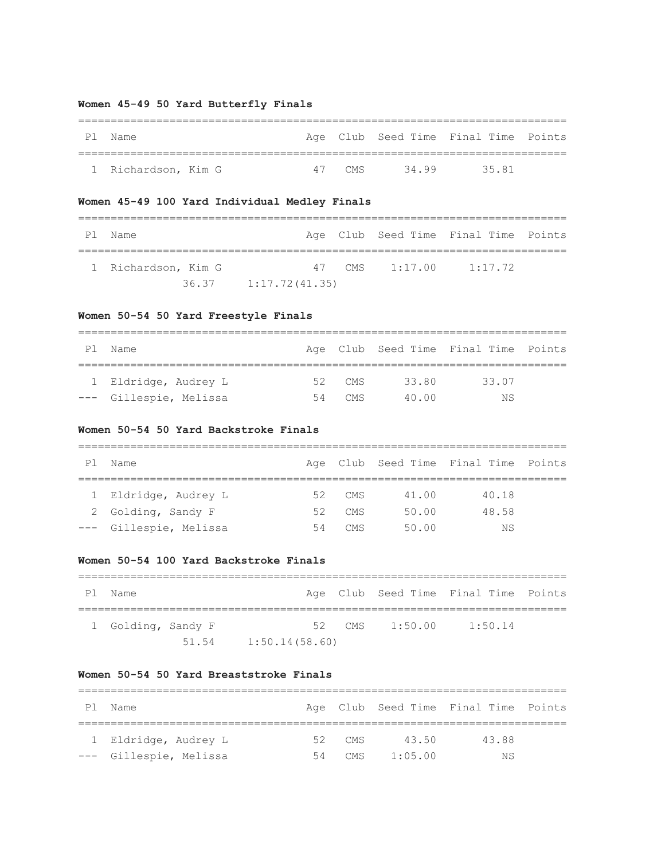## **Women 45-49 50 Yard Butterfly Finals**

| P1 | Name                |        |      | Age Club Seed Time Final Time Points |  |
|----|---------------------|--------|------|--------------------------------------|--|
|    |                     |        |      |                                      |  |
|    | 1 Richardson, Kim G | 47 CMS | 3499 | 35 81                                |  |

## **Women 45-49 100 Yard Individual Medley Finals**

| Pl Name             |                        |  | Age Club Seed Time Final Time Points |  |
|---------------------|------------------------|--|--------------------------------------|--|
|                     |                        |  |                                      |  |
| 1 Richardson, Kim G |                        |  | 47 CMS 1:17.00 1:17.72               |  |
|                     | $36.37$ 1:17.72(41.35) |  |                                      |  |

## **Women 50-54 50 Yard Freestyle Finals**

| Ρl | Name                   |    |        |       | Age Club Seed Time Final Time Points |  |  |  |  |  |
|----|------------------------|----|--------|-------|--------------------------------------|--|--|--|--|--|
|    |                        |    |        |       |                                      |  |  |  |  |  |
|    | 1 Eldridge, Audrey L   |    | 52 CMS | 33.80 | 33.07                                |  |  |  |  |  |
|    | --- Gillespie, Melissa | 54 | CMS.   | 40 00 | ΝS                                   |  |  |  |  |  |

### **Women 50-54 50 Yard Backstroke Finals**

| P1 | Name                   |    |      |       | Age Club Seed Time Final Time Points |  |  |  |  |  |  |
|----|------------------------|----|------|-------|--------------------------------------|--|--|--|--|--|--|
|    |                        |    |      |       |                                      |  |  |  |  |  |  |
|    | 1 Eldridge, Audrey L   | 52 | CMS  | 41.00 | 40.18                                |  |  |  |  |  |  |
|    | 2 Golding, Sandy F     | 52 | CMS  | 50.00 | 48.58                                |  |  |  |  |  |  |
|    | --- Gillespie, Melissa | 54 | CMS. | 50.00 | ΝS                                   |  |  |  |  |  |  |

### **Women 50-54 100 Yard Backstroke Finals**

| P 1 | Name               |       |                |  |  |                | Age Club Seed Time Final Time Points |  |  |
|-----|--------------------|-------|----------------|--|--|----------------|--------------------------------------|--|--|
|     | 1 Golding, Sandy F |       |                |  |  | 52 CMS 1:50.00 | 1:50.14                              |  |  |
|     |                    | 51.54 | 1:50.14(58.60) |  |  |                |                                      |  |  |

### **Women 50-54 50 Yard Breaststroke Finals**

| PI. | Name                   |    |        |         | Age Club Seed Time Final Time Points |  |  |  |  |  |  |
|-----|------------------------|----|--------|---------|--------------------------------------|--|--|--|--|--|--|
|     |                        |    |        |         |                                      |  |  |  |  |  |  |
|     | 1 Eldridge, Audrey L   |    | 52 CMS | 43.50   | 43.88                                |  |  |  |  |  |  |
|     | --- Gillespie, Melissa | 54 | CMS    | 1:05.00 | ΝS                                   |  |  |  |  |  |  |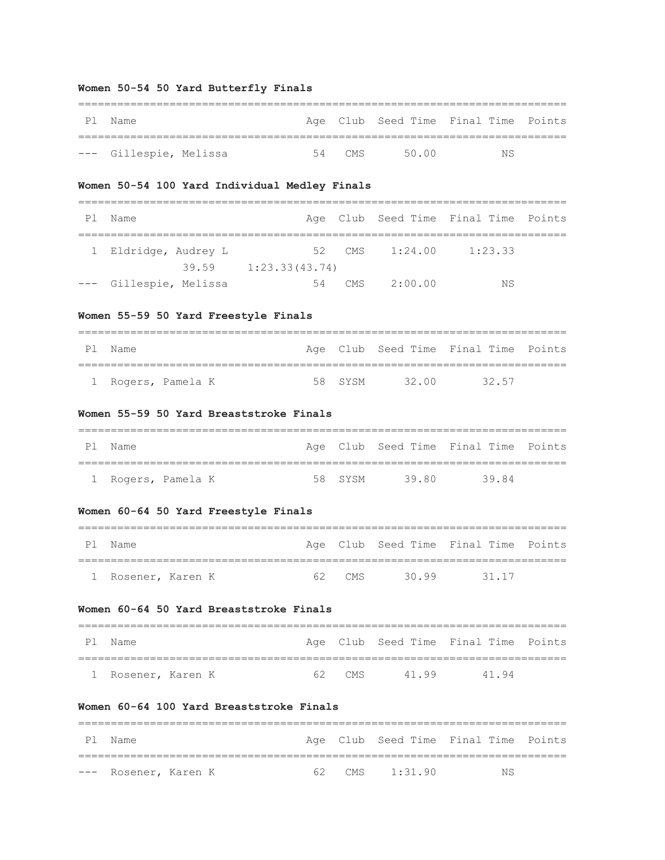### **Women 50-54 50 Yard Butterfly Finals**

| Pl Name                |  |        |       | Age Club Seed Time Final Time Points |  |
|------------------------|--|--------|-------|--------------------------------------|--|
|                        |  |        |       |                                      |  |
| --- Gillespie, Melissa |  | 54 CMS | 50.00 | NS.                                  |  |

### **Women 50-54 100 Yard Individual Medley Finals**

| P1 | Name                   |       |                |     |         | Age Club Seed Time Final Time Points |  |  |  |  |
|----|------------------------|-------|----------------|-----|---------|--------------------------------------|--|--|--|--|
|    |                        |       |                |     |         |                                      |  |  |  |  |
|    | 1 Eldridge, Audrey L   |       | 52             | CMS | 1:24.00 | 1:23.33                              |  |  |  |  |
|    |                        | 39.59 | 1:23.33(43.74) |     |         |                                      |  |  |  |  |
|    | --- Gillespie, Melissa |       | 54             | CMS | 2:00.00 | ΝS                                   |  |  |  |  |

## **Women 55-59 50 Yard Freestyle Finals**

| Pl Name            |         |       | Age Club Seed Time Final Time Points |  |
|--------------------|---------|-------|--------------------------------------|--|
|                    |         |       |                                      |  |
| 1 Rogers, Pamela K | 58 SYSM | 32.00 | 32 57                                |  |

#### **Women 55-59 50 Yard Breaststroke Finals**

| Pl Name            |         |       | Age Club Seed Time Final Time Points |  |
|--------------------|---------|-------|--------------------------------------|--|
|                    |         |       |                                      |  |
| 1 Rogers, Pamela K | 58 SYSM | 39.80 | 3984                                 |  |

## **Women 60-64 50 Yard Freestyle Finals**

| P 1 | Name               |    |       |       | Age Club Seed Time Final Time Points |  |
|-----|--------------------|----|-------|-------|--------------------------------------|--|
|     |                    |    |       |       |                                      |  |
|     | 1 Rosener, Karen K | 62 | ' CMS | 30.99 | 31.17                                |  |

## **Women 60-64 50 Yard Breaststroke Finals**

| Pl Name            |        |       | Age Club Seed Time Final Time Points |  |
|--------------------|--------|-------|--------------------------------------|--|
|                    |        |       |                                      |  |
| 1 Rosener, Karen K | 62 CMS | 41.99 | 4194                                 |  |

===========================================================================

## **Women 60-64 100 Yard Breaststroke Finals**

| P1 | Name                 |  |                  | Age Club Seed Time Final Time Points |
|----|----------------------|--|------------------|--------------------------------------|
|    |                      |  |                  |                                      |
|    | --- Rosener, Karen K |  | 62 CMS $1:31.90$ | ΝS                                   |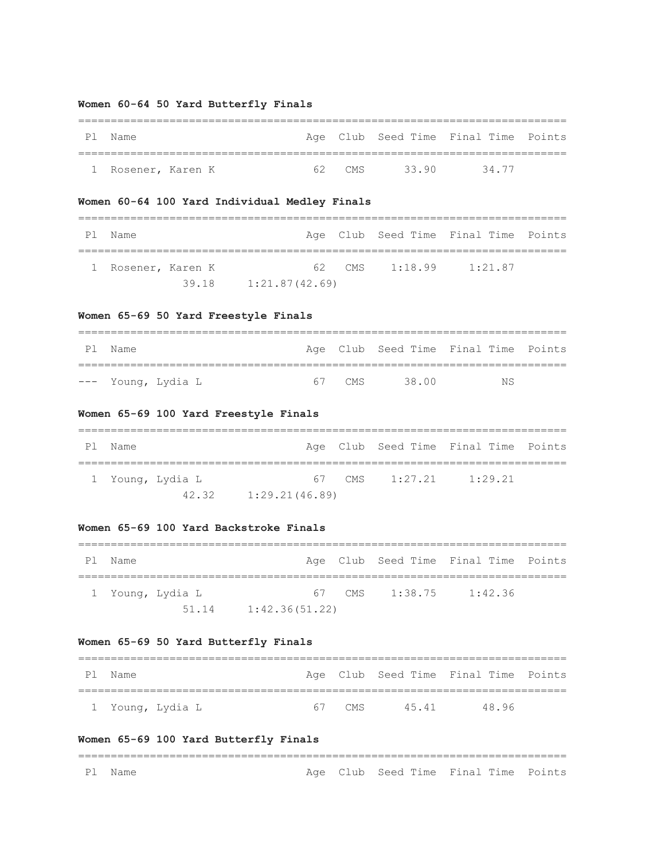## **Women 60-64 50 Yard Butterfly Finals**

| P1 | Name               |    |     |      | Age Club Seed Time Final Time Points |  |
|----|--------------------|----|-----|------|--------------------------------------|--|
|    |                    |    |     |      |                                      |  |
|    | 1 Rosener, Karen K | 62 | CMS | 3390 | 34 77                                |  |

## **Women 60-64 100 Yard Individual Medley Finals**

| P 1 | Name               |                |                  | Age Club Seed Time Final Time Points |  |
|-----|--------------------|----------------|------------------|--------------------------------------|--|
|     | 1 Rosener, Karen K |                | 62 CMS $1:18.99$ | 1:21.87                              |  |
|     | 39.18              | 1:21.87(42.69) |                  |                                      |  |

## **Women 65-69 50 Yard Freestyle Finals**

| Pl Name            |  |        |       | Age Club Seed Time Final Time Points |  |  |  |  |  |
|--------------------|--|--------|-------|--------------------------------------|--|--|--|--|--|
|                    |  |        |       |                                      |  |  |  |  |  |
| --- Young, Lydia L |  | 67 CMS | 38 00 | ΝS                                   |  |  |  |  |  |

## **Women 65-69 100 Yard Freestyle Finals**

| P1 | Name |                  |                |                  | Age Club Seed Time Final Time Points |  |
|----|------|------------------|----------------|------------------|--------------------------------------|--|
|    |      | 1 Young, Lydia L |                | 67 CMS $1:27.21$ | 1:29.21                              |  |
|    |      | 42.32            | 1:29.21(46.89) |                  |                                      |  |

#### **Women 65-69 100 Yard Backstroke Finals**

| P1 | Name |                  |                |  |                | Age Club Seed Time Final Time Points |  |  |
|----|------|------------------|----------------|--|----------------|--------------------------------------|--|--|
|    |      | 1 Young, Lydia L |                |  | 67 CMS 1:38.75 | 1:42.36                              |  |  |
|    |      | 51.14            | 1:42.36(51.22) |  |                |                                      |  |  |

## **Women 65-69 50 Yard Butterfly Finals**

| Pl Name          |        |      | Age Club Seed Time Final Time Points |  |
|------------------|--------|------|--------------------------------------|--|
|                  |        |      |                                      |  |
| 1 Young, Lydia L | 67 CMS | 4541 | 48 96                                |  |

## **Women 65-69 100 Yard Butterfly Finals**

=========================================================================== Pl Name **Age Club Seed Time Final Time Points**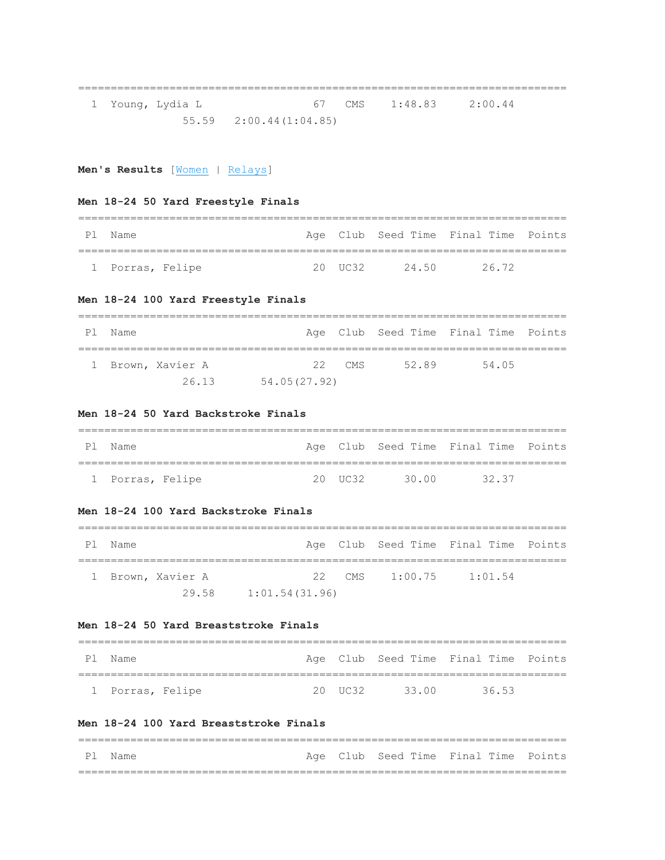1 Young, Lydia L 67 CMS 1:48.83 2:00.44 55.59 2:00.44(1:04.85)

===========================================================================

**Men's Results** [\[Women](http://www.usms.org/usmsadmin/meets/meetresults.php?MeetID=20160123CSHOFY#Women) | [Relays\]](http://www.usms.org/usmsadmin/meets/meetresults.php?MeetID=20160123CSHOFY#Relays)

## **Men 18-24 50 Yard Freestyle Finals**

| Pl Name          |  |            |      | Age Club Seed Time Final Time Points |  |
|------------------|--|------------|------|--------------------------------------|--|
|                  |  |            |      |                                      |  |
| 1 Porras, Felipe |  | $20$ IIC32 | 2450 | 26.72                                |  |

## **Men 18-24 100 Yard Freestyle Finals**

| P1 | Name |                   |              |          |       | Age Club Seed Time Final Time Points |  |  |
|----|------|-------------------|--------------|----------|-------|--------------------------------------|--|--|
|    |      | 1 Brown, Xavier A |              | $22$ CMS | 52.89 | 54.05                                |  |  |
|    |      | 26.13             | 54.05(27.92) |          |       |                                      |  |  |

### **Men 18-24 50 Yard Backstroke Finals**

| P1 | . Name           |  |          |       | Age Club Seed Time Final Time Points |  |
|----|------------------|--|----------|-------|--------------------------------------|--|
|    |                  |  |          |       |                                      |  |
|    | 1 Porras, Felipe |  | 20 IIC32 | 30 00 | 32.37                                |  |

### **Men 18-24 100 Yard Backstroke Finals**

| P1 | Name |                   |                |                | Age Club Seed Time Final Time Points |  |
|----|------|-------------------|----------------|----------------|--------------------------------------|--|
|    |      | 1 Brown, Xavier A |                | 22 CMS 1:00.75 | 1:01.54                              |  |
|    |      | 29.58             | 1:01.54(31.96) |                |                                      |  |

### **Men 18-24 50 Yard Breaststroke Finals**

| P1. | Name             |            |       | Age Club Seed Time Final Time Points |  |
|-----|------------------|------------|-------|--------------------------------------|--|
|     |                  |            |       |                                      |  |
|     | 1 Porras, Felipe | $20$ IIC32 | 33.00 | 3653                                 |  |

### **Men 18-24 100 Yard Breaststroke Finals**

|  | Pl Name |  |  |  | Age Club Seed Time Final Time Points |  |  |
|--|---------|--|--|--|--------------------------------------|--|--|
|  |         |  |  |  |                                      |  |  |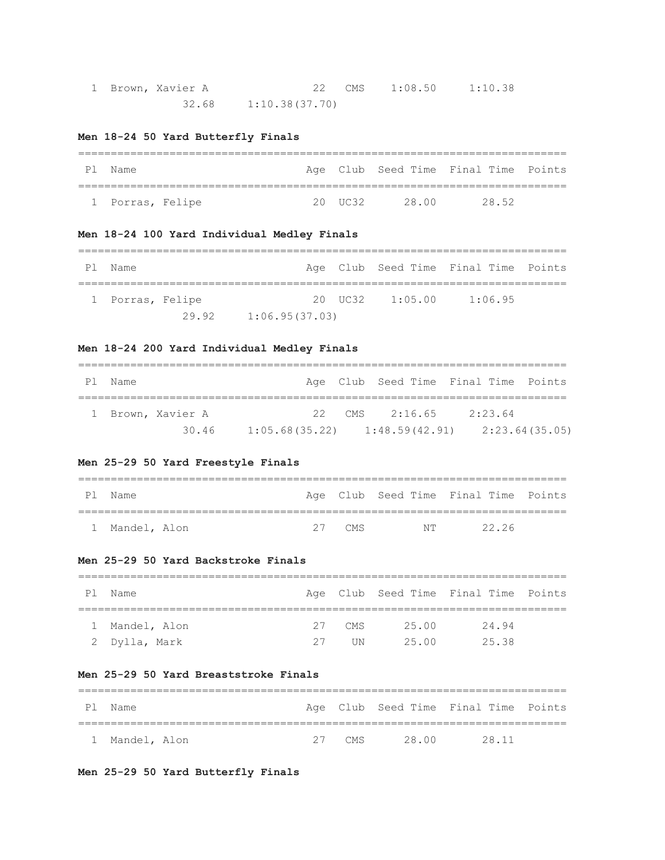| 1 Brown, Xavier A |                        | 22 CMS 1:08.50 | 1:10.38 |
|-------------------|------------------------|----------------|---------|
|                   | $32.68$ 1:10.38(37.70) |                |         |

## **Men 18-24 50 Yard Butterfly Finals**

| P 1 | Name             |            |       | Age Club Seed Time Final Time Points |  |
|-----|------------------|------------|-------|--------------------------------------|--|
|     |                  |            |       |                                      |  |
|     | 1 Porras, Felipe | $20$ IIC32 | 28.00 | 28.52                                |  |

## **Men 18-24 100 Yard Individual Medley Finals**

| P 1 | Name             |       |                |                     | Age Club Seed Time Final Time Points |  |
|-----|------------------|-------|----------------|---------------------|--------------------------------------|--|
|     | 1 Porras, Felipe |       |                | $20$ UC32 $1:05.00$ | 1:06.95                              |  |
|     |                  | 29.92 | 1:06.95(37.03) |                     |                                      |  |

## **Men 18-24 200 Yard Individual Medley Finals**

| P 1 | Name |                   |                                   | Age Club Seed Time Final Time Points |         |                |
|-----|------|-------------------|-----------------------------------|--------------------------------------|---------|----------------|
|     |      | 1 Brown, Xavier A |                                   | 22 CMS $2:16.65$                     | 2:23.64 |                |
|     |      | 30.46             | $1:05.68(35.22)$ $1:48.59(42.91)$ |                                      |         | 2:23.64(35.05) |

## **Men 25-29 50 Yard Freestyle Finals**

| P1 | Name           |  |          |                | Age Club Seed Time Final Time Points |  |
|----|----------------|--|----------|----------------|--------------------------------------|--|
|    |                |  |          |                |                                      |  |
|    | 1 Mandel, Alon |  | $27$ CMS | N <sub>T</sub> | 2226                                 |  |

### **Men 25-29 50 Yard Backstroke Finals**

| Pl Name       |    |            |       | Age Club Seed Time Final Time Points |  |  |  |  |
|---------------|----|------------|-------|--------------------------------------|--|--|--|--|
|               |    |            |       |                                      |  |  |  |  |
| Mandel, Alon  |    | $27$ CMS   | 25.00 | 24.94                                |  |  |  |  |
| 2 Dylla, Mark | 27 | <b>TIN</b> | 25.00 | 25.38                                |  |  |  |  |

### **Men 25-29 50 Yard Breaststroke Finals**

| P1 | Name           |  |              | Age Club Seed Time Final Time Points |  |
|----|----------------|--|--------------|--------------------------------------|--|
|    |                |  |              |                                      |  |
|    | 1 Mandel, Alon |  | 27 CMS 28 00 | 28 11                                |  |

**Men 25-29 50 Yard Butterfly Finals**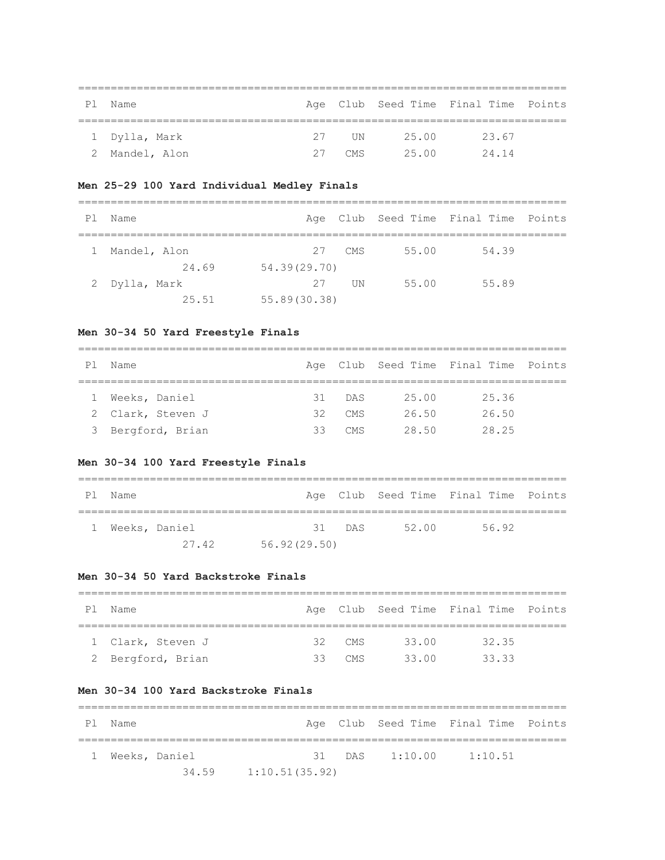| P 1 | Name          |    |       |       | Age Club Seed Time Final Time Points |  |
|-----|---------------|----|-------|-------|--------------------------------------|--|
|     | 1 Dylla, Mark |    | 27 UN | 25.00 | 23.67                                |  |
|     |               |    |       |       |                                      |  |
|     | Mandel, Alon  | 27 | CMS   | 25.00 | 24 14                                |  |

## **Men 25-29 100 Yard Individual Medley Finals**

| P 1 | Name          |              |            |       | Age Club Seed Time Final Time Points |  |
|-----|---------------|--------------|------------|-------|--------------------------------------|--|
|     |               |              |            |       |                                      |  |
|     | Mandel, Alon  | 27           | CMS        | 55.00 | 54.39                                |  |
|     | 24.69         | 54.39(29.70) |            |       |                                      |  |
|     | 2 Dylla, Mark | 27           | <b>IIN</b> | 55.00 | 55.89                                |  |
|     | 25.51         | 55.89(30.38) |            |       |                                      |  |

### **Men 30-34 50 Yard Freestyle Finals**

| P1 | Name              |    |        |       | Age Club Seed Time Final Time Points |  |  |  |  |  |  |  |
|----|-------------------|----|--------|-------|--------------------------------------|--|--|--|--|--|--|--|
|    |                   |    |        |       |                                      |  |  |  |  |  |  |  |
|    | Weeks, Daniel     |    | 31 DAS | 25.00 | 25.36                                |  |  |  |  |  |  |  |
|    | 2 Clark, Steven J | 32 | CMS    | 26.50 | 26.50                                |  |  |  |  |  |  |  |
|    | 3 Bergford, Brian | 33 | CMS.   | 28.50 | 28.25                                |  |  |  |  |  |  |  |

## **Men 30-34 100 Yard Freestyle Finals**

| P1 | Name |               |              |          |       | Age Club Seed Time Final Time Points |  |
|----|------|---------------|--------------|----------|-------|--------------------------------------|--|
|    |      | Weeks, Daniel |              | $31$ DAS | 52.00 | 56.92                                |  |
|    |      | 27.42         | 56.92(29.50) |          |       |                                      |  |

### **Men 30-34 50 Yard Backstroke Finals**

| P1 | Name              |  |          |       | Age Club Seed Time Final Time Points |  |  |  |  |  |  |  |
|----|-------------------|--|----------|-------|--------------------------------------|--|--|--|--|--|--|--|
|    |                   |  |          |       |                                      |  |  |  |  |  |  |  |
|    | 1 Clark, Steven J |  | 32 CMS   | 33.00 | 32.35                                |  |  |  |  |  |  |  |
|    | 2 Bergford, Brian |  | $33$ CMS | 33 00 | 33.33                                |  |  |  |  |  |  |  |

## **Men 30-34 100 Yard Backstroke Finals**

|              | Pl Name       |       |                |  |  | Age Club Seed Time Final Time Points |  |  |  |  |  |  |  |  |
|--------------|---------------|-------|----------------|--|--|--------------------------------------|--|--|--|--|--|--|--|--|
| $\mathbb{R}$ | Weeks, Daniel |       |                |  |  | 31 DAS 1:10.00 1:10.51               |  |  |  |  |  |  |  |  |
|              |               | 34.59 | 1:10.51(35.92) |  |  |                                      |  |  |  |  |  |  |  |  |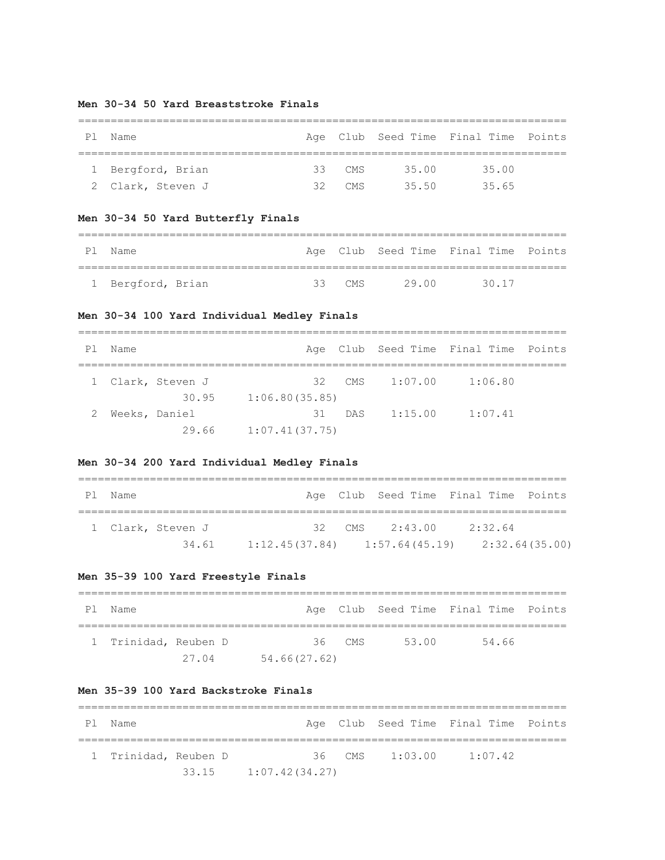### **Men 30-34 50 Yard Breaststroke Finals**

| Ρl | Name              |    |                 |       | Age Club Seed Time Final Time Points |  |
|----|-------------------|----|-----------------|-------|--------------------------------------|--|
|    |                   |    |                 |       |                                      |  |
|    | 1 Bergford, Brian |    | $33$ CMS        | 35.00 | 35.00                                |  |
|    | 2 Clark, Steven J | マク | CM <sub>S</sub> | 35.50 | 35.65                                |  |

## **Men 30-34 50 Yard Butterfly Finals**

| P 1 | Name              |          |       | Age Club Seed Time Final Time Points |  |
|-----|-------------------|----------|-------|--------------------------------------|--|
|     |                   |          |       |                                      |  |
|     | 1 Bergford, Brian | 33 $CMS$ | 29 00 | 30 17                                |  |

## **Men 30-34 100 Yard Individual Medley Finals**

| P1 | Name          |                   |                |     |                | Age Club Seed Time Final Time Points |  |
|----|---------------|-------------------|----------------|-----|----------------|--------------------------------------|--|
|    |               | 1 Clark, Steven J |                |     | 32 CMS 1:07.00 | 1:06.80                              |  |
|    |               | 30.95             | 1:06.80(35.85) |     |                |                                      |  |
|    | Weeks, Daniel |                   | .31            | DAS | 1:15.00        | 1:07.41                              |  |
|    |               | 29.66             | 1:07.41(37.75) |     |                |                                      |  |

## **Men 30-34 200 Yard Individual Medley Finals**

| P1 | Name |                   |                                   | Age Club Seed Time Final Time Points |         |                |
|----|------|-------------------|-----------------------------------|--------------------------------------|---------|----------------|
|    |      | 1 Clark, Steven J |                                   | 32 CMS 2:43.00                       | 2:32.64 |                |
|    |      | 34.61             | $1:12.45(37.84)$ $1:57.64(45.19)$ |                                      |         | 2:32.64(35.00) |

## **Men 35-39 100 Yard Freestyle Finals**

| P1 | Name                 |       |              |        |       |       | Age Club Seed Time Final Time Points |
|----|----------------------|-------|--------------|--------|-------|-------|--------------------------------------|
|    | 1 Trinidad, Reuben D |       |              | 36 CMS | 53.00 | 54.66 |                                      |
|    |                      | 27.04 | 54.66(27.62) |        |       |       |                                      |

## **Men 35-39 100 Yard Backstroke Finals**

| Pl Name              |       |  |                |  |          | Age Club Seed Time Final Time Points |  |         |  |  |  |  |
|----------------------|-------|--|----------------|--|----------|--------------------------------------|--|---------|--|--|--|--|
| 1 Trinidad, Reuben D |       |  |                |  | $36$ CMS | 1:03.00                              |  | 1:07.42 |  |  |  |  |
|                      | 33.15 |  | 1:07.42(34.27) |  |          |                                      |  |         |  |  |  |  |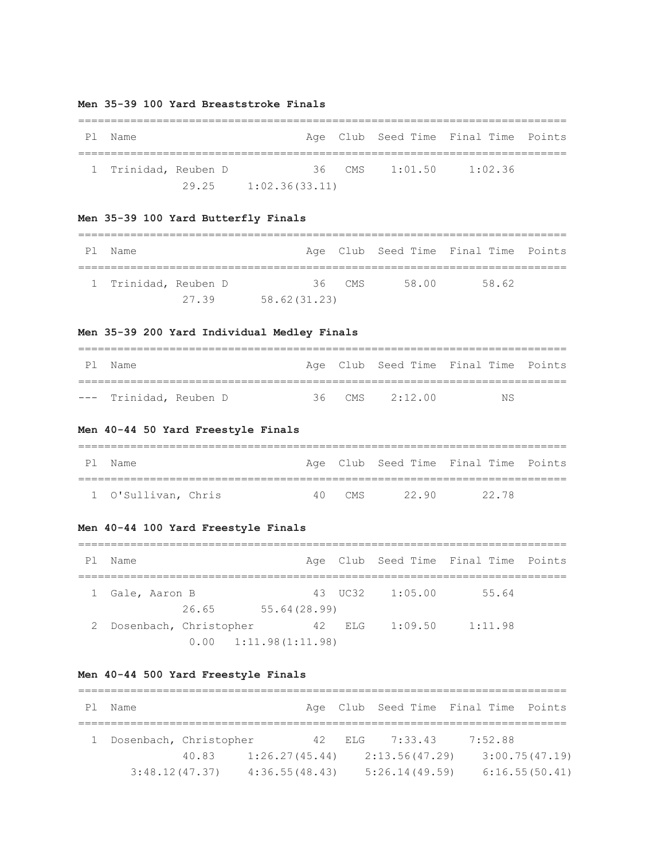### **Men 35-39 100 Yard Breaststroke Finals**

| P1 | Name                 |       |  |                |  |  | Age Club Seed Time Final Time Points |  |         |  |  |  |  |
|----|----------------------|-------|--|----------------|--|--|--------------------------------------|--|---------|--|--|--|--|
|    | 1 Trinidad, Reuben D |       |  |                |  |  | 36 CMS 1:01.50                       |  | 1:02.36 |  |  |  |  |
|    |                      | 29.25 |  | 1:02.36(33.11) |  |  |                                      |  |         |  |  |  |  |

## **Men 35-39 100 Yard Butterfly Finals**

| Ρl | Name                 |       |               |          |       |       | Age Club Seed Time Final Time Points |
|----|----------------------|-------|---------------|----------|-------|-------|--------------------------------------|
|    | 1 Trinidad, Reuben D |       |               | $36$ CMS | 58.00 | 58.62 |                                      |
|    |                      | 27.39 | 58.62 (31.23) |          |       |       |                                      |

## **Men 35-39 200 Yard Individual Medley Finals**

| Pl Name                |  |                    | Age Club Seed Time Final Time Points |
|------------------------|--|--------------------|--------------------------------------|
|                        |  |                    |                                      |
| --- Trinidad, Reuben D |  | $36$ CMS $2:12.00$ | NS.                                  |

## **Men 40-44 50 Yard Freestyle Finals**

| P <sub>1</sub> | . Name              |        |       | Age Club Seed Time Final Time Points |
|----------------|---------------------|--------|-------|--------------------------------------|
|                |                     |        |       |                                      |
|                | 1 O'Sullivan, Chris | 40 CMS | 22.90 | 22.78                                |

## **Men 40-44 100 Yard Freestyle Finals**

| P1 | Name            |                        |                               |        |                 | Age Club Seed Time Final Time Points |  |
|----|-----------------|------------------------|-------------------------------|--------|-----------------|--------------------------------------|--|
|    | 1 Gale, Aaron B |                        |                               |        | 43 UC32 1:05.00 | 55.64                                |  |
|    |                 | 26.65                  | 55.64(28.99)                  |        |                 |                                      |  |
|    |                 | Dosenbach, Christopher |                               | 42 ELG | 1:09.50         | 1:11.98                              |  |
|    |                 |                        | $0.00 \quad 1:11.98(1:11.98)$ |        |                 |                                      |  |

## **Men 40-44 500 Yard Freestyle Finals**

| P 1 | Name                   |       |                |          | Age Club Seed Time Final Time Points |         |                |
|-----|------------------------|-------|----------------|----------|--------------------------------------|---------|----------------|
|     |                        |       |                |          |                                      |         |                |
|     | Dosenbach, Christopher |       |                | 42 F.I.G | 7:33.43                              | 7:52.88 |                |
|     |                        | 40.83 | 1:26.27(45.44) |          | 2:13.56(47.29)                       |         | 3:00.75(47.19) |
|     | 3:48.12(47.37)         |       | 4:36.55(48.43) |          | 5:26.14(49.59)                       |         | 6:16.55(50.41) |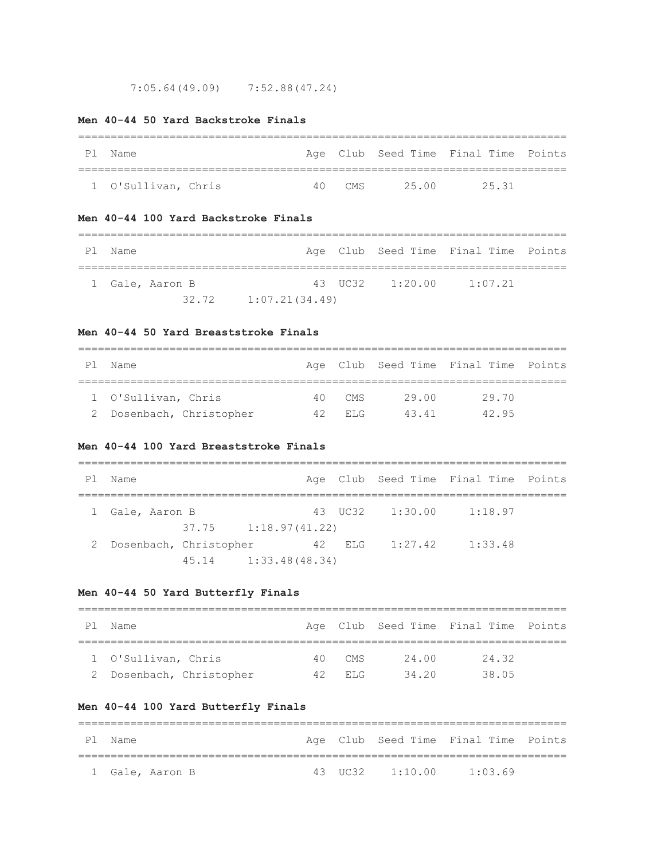7:05.64(49.09) 7:52.88(47.24)

## **Men 40-44 50 Yard Backstroke Finals**

| Pl Name             |        |       | Age Club Seed Time Final Time Points |  |
|---------------------|--------|-------|--------------------------------------|--|
|                     |        |       |                                      |  |
| 1 O'Sullivan, Chris | 40 CMS | 25.00 | 25.31                                |  |

## **Men 40-44 100 Yard Backstroke Finals**

| Pl Name |                 |                          |  | Age Club Seed Time Final Time Points |  |
|---------|-----------------|--------------------------|--|--------------------------------------|--|
|         |                 |                          |  |                                      |  |
|         | 1 Gale, Aaron B |                          |  | 43 UC32 $1:20.00$ $1:07.21$          |  |
|         |                 | $32.72$ $1:07.21(34.49)$ |  |                                      |  |

### **Men 40-44 50 Yard Breaststroke Finals**

| Name                     |  |          |       | Age Club Seed Time Final Time Points |  |  |  |  |  |
|--------------------------|--|----------|-------|--------------------------------------|--|--|--|--|--|
|                          |  |          |       |                                      |  |  |  |  |  |
| 1 O'Sullivan, Chris      |  | 40 CMS   | 29.00 | 29.70                                |  |  |  |  |  |
| 2 Dosenbach, Christopher |  | 42 F.T.G | 4341  | 42 95                                |  |  |  |  |  |

### **Men 40-44 100 Yard Breaststroke Finals**

| P1 | Name                     |       |                          |        |                 | Age Club Seed Time Final Time Points |  |
|----|--------------------------|-------|--------------------------|--------|-----------------|--------------------------------------|--|
|    | 1 Gale, Aaron B          |       |                          |        | 43 UC32 1:30.00 | 1:18.97                              |  |
|    |                          |       | $37.75$ $1:18.97(41.22)$ |        |                 |                                      |  |
|    | 2 Dosenbach, Christopher |       |                          | 42 ELG | 1:27.42         | 1:33.48                              |  |
|    |                          | 45.14 | 1:33.48(48.34)           |        |                 |                                      |  |

## **Men 40-44 50 Yard Butterfly Finals**

| PI | Name                     |     |          |       | Age Club Seed Time Final Time Points |  |  |  |  |
|----|--------------------------|-----|----------|-------|--------------------------------------|--|--|--|--|
|    |                          |     |          |       |                                      |  |  |  |  |
|    | 1 O'Sullivan, Chris      | 4 N | CMS      | 24.00 | 24.32                                |  |  |  |  |
|    | 2 Dosenbach, Christopher |     | 42 F.I.G | 34.20 | 38.05                                |  |  |  |  |

## **Men 40-44 100 Yard Butterfly Finals**

| Pl Name         |  | Age Club Seed Time Final Time Points |  |
|-----------------|--|--------------------------------------|--|
|                 |  |                                      |  |
| 1 Gale, Aaron B |  | 43 UC32 $1:10.00$ $1:03.69$          |  |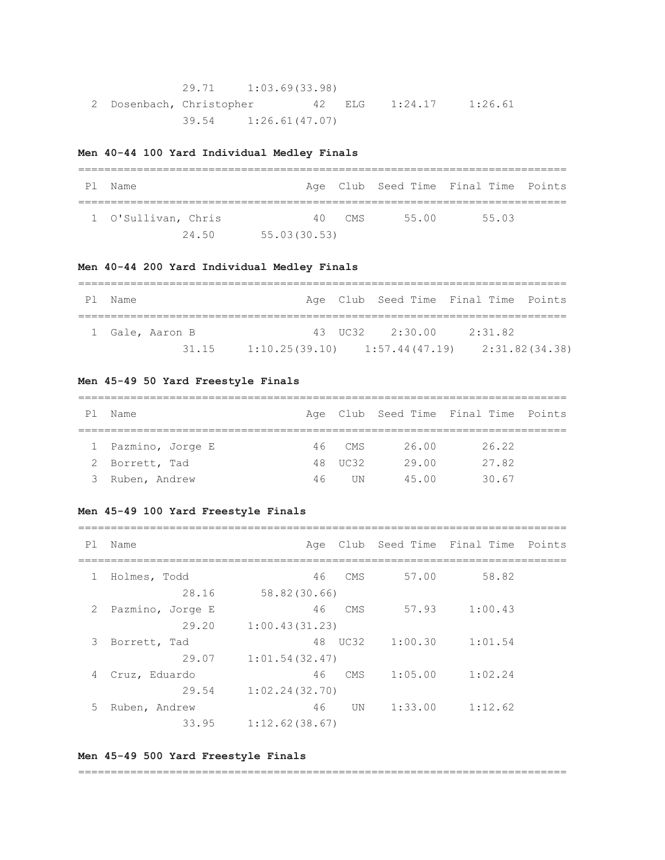|                          | 29.71 1:03.69(33.98) |  |                |         |
|--------------------------|----------------------|--|----------------|---------|
| 2 Dosenbach, Christopher |                      |  | 42 ELG 1:24.17 | 1:26.61 |
|                          | 39.54 1:26.61(47.07) |  |                |         |

## **Men 40-44 100 Yard Individual Medley Finals**

| P 1 | Name                |              |        |       | Age Club Seed Time Final Time Points |  |
|-----|---------------------|--------------|--------|-------|--------------------------------------|--|
|     | 1 O'Sullivan, Chris |              | 40 CMS | 55.00 | 55.03                                |  |
|     | 24.50               | 55.03(30.53) |        |       |                                      |  |

## **Men 40-44 200 Yard Individual Medley Finals**

| Pl Name |                 |                                                    | Age Club Seed Time Final Time Points |         |  |
|---------|-----------------|----------------------------------------------------|--------------------------------------|---------|--|
|         |                 |                                                    |                                      |         |  |
|         | 1 Gale, Aaron B |                                                    | 43 UC32 2:30.00                      | 2:31.82 |  |
|         | 31.15           | $1:10.25(39.10)$ $1:57.44(47.19)$ $2:31.82(34.38)$ |                                      |         |  |

### **Men 45-49 50 Yard Freestyle Finals**

| Ρl | Name               |    |           |       | Age Club Seed Time Final Time Points |  |  |  |  |
|----|--------------------|----|-----------|-------|--------------------------------------|--|--|--|--|
|    |                    |    |           |       |                                      |  |  |  |  |
|    | 1 Pazmino, Jorge E |    | 46 CMS    | 26.00 | 26.22                                |  |  |  |  |
|    | 2 Borrett, Tad     |    | 48 UC32   | 29.00 | 27.82                                |  |  |  |  |
|    | Ruben, Andrew      | 46 | <b>UN</b> | 45.00 | 30.67                                |  |  |  |  |

## **Men 45-49 100 Yard Freestyle Finals**

| Pl Name |  | Age Club Seed Time Final Time Points |  |
|---------|--|--------------------------------------|--|

|   | Holmes, Todd     | 58.82<br>57.00<br>46<br>CMS      |
|---|------------------|----------------------------------|
|   | 28.16            | 58.82(30.66)                     |
| 2 | Pazmino, Jorge E | 1:00.43<br>46<br>57.93<br>CMS    |
|   | 29.20            | 1:00.43(31.23)                   |
| 3 | Borrett, Tad     | 1:00.30<br>48<br>UC32<br>1:01.54 |
|   | 29.07            | 1:01.54(32.47)                   |
| 4 | Cruz, Eduardo    | 1:05.00<br>1:02.24<br>46<br>CMS  |
|   | 29.54            | 1:02.24(32.70)                   |
| 5 | Ruben, Andrew    | 1:12.62<br>46<br>1:33.00<br>UN   |
|   | 33.95            | 1:12.62(38.67)                   |

### **Men 45-49 500 Yard Freestyle Finals**

#### ===========================================================================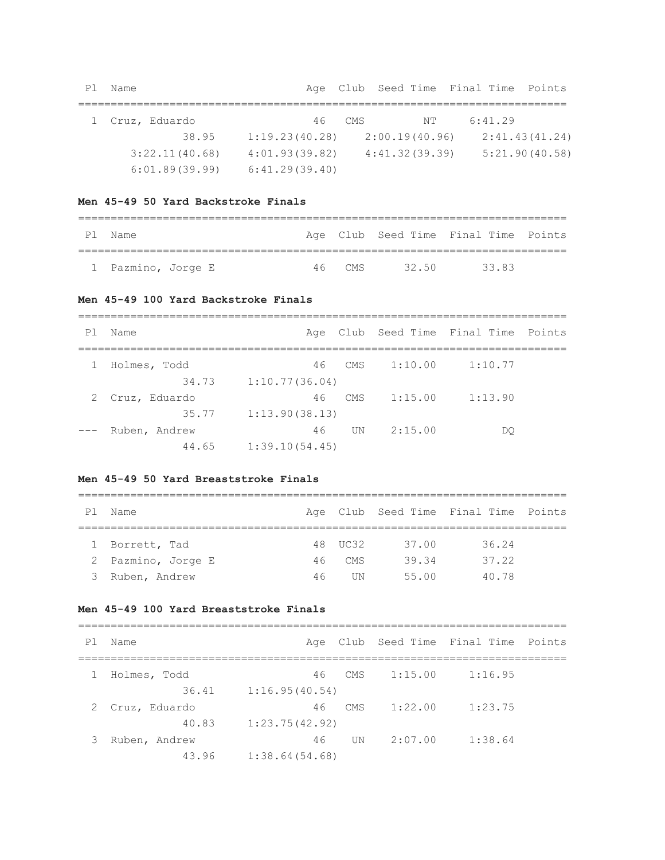| P1 | Name            |                |      |                | Age Club Seed Time Final Time Points |                |
|----|-----------------|----------------|------|----------------|--------------------------------------|----------------|
|    | 1 Cruz, Eduardo | 46             | CMS. | NT.            | 6:41.29                              |                |
|    | 38.95           | 1:19.23(40.28) |      | 2:00.19(40.96) |                                      | 2:41.43(41.24) |
|    | 3:22.11(40.68)  | 4:01.93(39.82) |      | 4:41.32(39.39) |                                      | 5:21.90(40.58) |
|    | 6:01.89(39.99)  | 6:41.29(39.40) |      |                |                                      |                |

### **Men 45-49 50 Yard Backstroke Finals**

| Pl Name            |        |       | Age Club Seed Time Final Time Points |
|--------------------|--------|-------|--------------------------------------|
|                    |        |       |                                      |
| 1 Pazmino, Jorge E | 46 CMS | 32 50 | 3383                                 |

#### **Men 45-49 100 Yard Backstroke Finals**

=========================================================================== Pl Name **Age Club Seed Time Final Time Points** =========================================================================== 1 Holmes, Todd 46 CMS 1:10.00 1:10.77 34.73 1:10.77(36.04) 2 Cruz, Eduardo 46 CMS 1:15.00 1:13.90 35.77 1:13.90(38.13) --- Ruben, Andrew 46 UN 2:15.00 DQ 44.65 1:39.10(54.45)

### **Men 45-49 50 Yard Breaststroke Finals**

=========================================================================== Pl Name **Age Club Seed Time Final Time Points** =========================================================================== 1 Borrett, Tad 48 UC32 37.00 36.24 2 Pazmino, Jorge E 46 CMS 39.34 37.22 3 Ruben, Andrew 46 UN 55.00 40.78

### **Men 45-49 100 Yard Breaststroke Finals**

| P1 | Name          |                |        |         | Age Club Seed Time Final Time Points |  |
|----|---------------|----------------|--------|---------|--------------------------------------|--|
|    | Holmes, Todd  |                | 46 CMS | 1:15.00 | 1:16.95                              |  |
|    | 36.41         | 1:16.95(40.54) |        |         |                                      |  |
|    | Cruz, Eduardo | 46             | CMS    | 1:22.00 | 1:23.75                              |  |
|    | 40.83         | 1:23.75(42.92) |        |         |                                      |  |
| 3  | Ruben, Andrew | 46             | UN     | 2:07.00 | 1:38.64                              |  |
|    | 43.96         | 1:38.64(54.68) |        |         |                                      |  |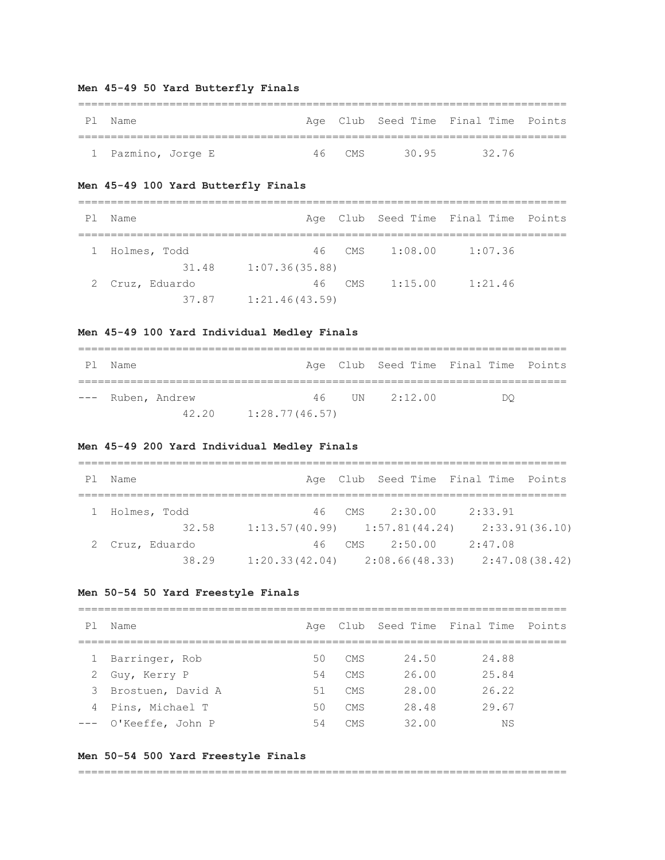## **Men 45-49 50 Yard Butterfly Finals**

| P 1 | Name               |  |        |      | Age Club Seed Time Final Time Points |  |
|-----|--------------------|--|--------|------|--------------------------------------|--|
|     |                    |  |        |      |                                      |  |
|     | 1 Pazmino, Jorge E |  | 46 CMS | 3095 | 3276                                 |  |

## **Men 45-49 100 Yard Butterfly Finals**

| P1 | Name            |                |          |         | Age Club Seed Time Final Time Points |  |
|----|-----------------|----------------|----------|---------|--------------------------------------|--|
|    | Holmes, Todd    |                | 46 CMS   | 1:08.00 | 1:07.36                              |  |
|    | 31.48           | 1:07.36(35.88) |          |         |                                      |  |
|    | 2 Cruz, Eduardo |                | $46$ CMS | 1:15.00 | 1:21.46                              |  |
|    | 37.87           | 1:21.46(43.59) |          |         |                                      |  |

### **Men 45-49 100 Yard Individual Medley Finals**

| P1 | Name              |                          |               | Age Club Seed Time Final Time Points |  |
|----|-------------------|--------------------------|---------------|--------------------------------------|--|
|    | --- Ruben, Andrew |                          | 46 UN 2:12.00 | DΟ                                   |  |
|    |                   | $42.20$ $1:28.77(46.57)$ |               |                                      |  |

## **Men 45-49 200 Yard Individual Medley Finals**

| P1 | Name            |                                   | Age Club Seed Time Final Time Points |
|----|-----------------|-----------------------------------|--------------------------------------|
|    |                 |                                   |                                      |
|    | Holmes, Todd    | 46 CMS $2:30.00$                  | 2:33.91                              |
|    | 32.58           | $1:13.57(40.99)$ $1:57.81(44.24)$ | 2:33.91(36.10)                       |
|    | 2 Cruz, Eduardo | 46 CMS<br>2:50.00                 | 2:47.08                              |
|    | 38.29           | $1:20.33(42.04)$ $2:08.66(48.33)$ | 2:47.08(38.42)                       |

#### **Men 50-54 50 Yard Freestyle Finals**

# =========================================================================== Pl Name **Age Club Seed Time Final Time Points**

|              | _____________        |    |                 |       | nde eras peca rime rimar rime reinco |  |
|--------------|----------------------|----|-----------------|-------|--------------------------------------|--|
|              |                      |    |                 |       |                                      |  |
| $\mathbf{1}$ | Barringer, Rob       | 50 | CMS             | 24.50 | 24.88                                |  |
|              | 2 Guy, Kerry P       | 54 | CMS             | 26.00 | 25.84                                |  |
|              | 3 Brostuen, David A  | 51 | <b>CMS</b>      | 28.00 | 26.22                                |  |
|              | 4 Pins, Michael T    | 50 | CMS             | 28.48 | 29.67                                |  |
|              | --- O'Keeffe, John P | 54 | CM <sub>S</sub> | 32.00 | ΝS                                   |  |

#### **Men 50-54 500 Yard Freestyle Finals**

===========================================================================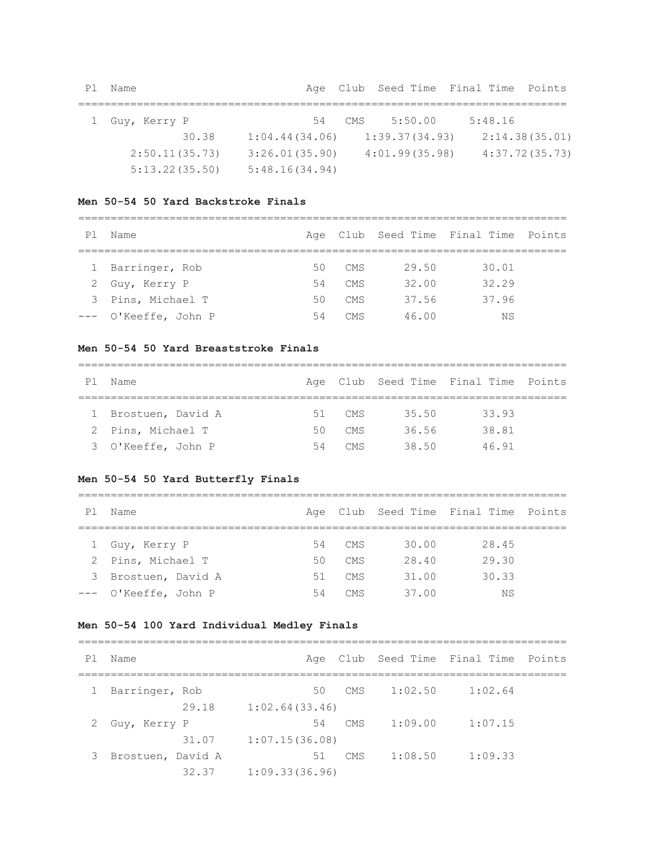| Pl Name |                |       |  | Age Club Seed Time Final Time Points               |         |  |
|---------|----------------|-------|--|----------------------------------------------------|---------|--|
|         |                |       |  |                                                    |         |  |
|         | 1 Guy, Kerry P |       |  | 54 CMS 5:50.00                                     | 5:48.16 |  |
|         |                | 30.38 |  | $1:04.44(34.06)$ $1:39.37(34.93)$ $2:14.38(35.01)$ |         |  |

2:50.11(35.73) 3:26.01(35.90) 4:01.99(35.98) 4:37.72(35.73)

#### **Men 50-54 50 Yard Backstroke Finals**

5:13.22(35.50) 5:48.16(34.94)

===========================================================================

| P1 | Name                 |    |            |       | Age Club Seed Time Final Time Points |  |
|----|----------------------|----|------------|-------|--------------------------------------|--|
|    |                      |    |            |       |                                      |  |
|    | 1 Barringer, Rob     | 50 | CMS        | 29.50 | 30.01                                |  |
|    | 2 Guy, Kerry P       | 54 | CMS        | 32.00 | 32.29                                |  |
|    | 3 Pins, Michael T    | 50 | CMS        | 37.56 | 37.96                                |  |
|    | --- O'Keeffe, John P | 54 | <b>CMS</b> | 46.00 | ΝS                                   |  |

#### **Men 50-54 50 Yard Breaststroke Finals**

| P <sub>1</sub> | Name                |    |      |       | Age Club Seed Time Final Time Points |  |  |  |  |  |
|----------------|---------------------|----|------|-------|--------------------------------------|--|--|--|--|--|
|                |                     |    |      |       |                                      |  |  |  |  |  |
|                | 1 Brostuen, David A | 51 | CMS  | 35.50 | 33.93                                |  |  |  |  |  |
|                | 2 Pins, Michael T   | 50 | CMS. | 36.56 | 38.81                                |  |  |  |  |  |
|                | 3 O'Keeffe, John P  | 54 | CMS  | 38.50 | 4691                                 |  |  |  |  |  |

#### **Men 50-54 50 Yard Butterfly Finals**

=========================================================================== Pl Name **Age Club Seed Time Final Time Points** =========================================================================== 1 Guy, Kerry P 54 CMS 30.00 28.45 2 Pins, Michael T 50 CMS 28.40 29.30 3 Brostuen, David A 51 CMS 31.00 30.33 --- O'Keeffe, John P 54 CMS 37.00 NS

### **Men 50-54 100 Yard Individual Medley Finals**

=========================================================================== Pl Name Age Club Seed Time Final Time Points =========================================================================== 1 Barringer, Rob 50 CMS 1:02.50 1:02.64 29.18 1:02.64(33.46) 2 Guy, Kerry P 54 CMS 1:09.00 1:07.15 31.07 1:07.15(36.08) 3 Brostuen, David A 51 CMS 1:08.50 1:09.33 32.37 1:09.33(36.96)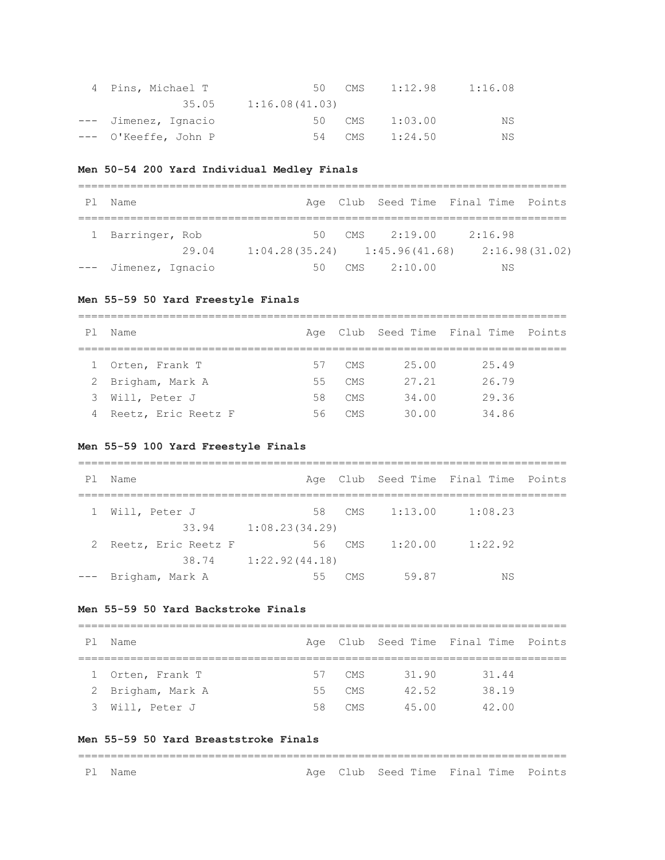| 4 Pins, Michael T    |                | 50 CMS | 1:12.98 | 1:16.08 |
|----------------------|----------------|--------|---------|---------|
| 35.05                | 1:16.08(41.03) |        |         |         |
| --- Jimenez, Ignacio |                | 50 CMS | 1:03.00 | ΝS      |
| --- O'Keeffe, John P |                | 54 CMS | 1:24.50 | NS      |

## **Men 50-54 200 Yard Individual Medley Finals**

| Ρl | Name                 |       |      |     | Age Club Seed Time Final Time Points |         |                |
|----|----------------------|-------|------|-----|--------------------------------------|---------|----------------|
|    | 1 Barringer, Rob     |       | 50 - | CMS | 2:19.00                              | 2:16.98 |                |
|    |                      | 29.04 |      |     | $1:04.28(35.24)$ $1:45.96(41.68)$    |         | 2:16.98(31.02) |
|    | --- Jimenez, Ignacio |       | 50   | CMS | 2:10.00                              | ΝS      |                |

## **Men 55-59 50 Yard Freestyle Finals**

===========================================================================

| P1 | Name                |      |      |       | Age Club Seed Time Final Time Points |  |
|----|---------------------|------|------|-------|--------------------------------------|--|
|    |                     |      |      |       |                                      |  |
|    | 1 Orten, Frank T    | 57   | CMS. | 25.00 | 25.49                                |  |
|    | 2 Brigham, Mark A   | 55   | CMS  | 27.21 | 26.79                                |  |
| 3  | Will, Peter J       | 58 - | CMS  | 34.00 | 29.36                                |  |
| 4  | Reetz, Eric Reetz F | 56   | CMS. | 30.00 | 34.86                                |  |

### **Men 55-59 100 Yard Freestyle Finals**

| P1    | Name                |                |     |         | Age Club Seed Time Final Time Points |  |
|-------|---------------------|----------------|-----|---------|--------------------------------------|--|
| 1     | Will, Peter J       | 58             | CMS | 1:13.00 | 1:08.23                              |  |
|       | 33.94               | 1:08.23(34.29) |     |         |                                      |  |
| 2     | Reetz, Eric Reetz F | 56             | CMS | 1:20.00 | 1:22.92                              |  |
|       | 38.74               | 1:22.92(44.18) |     |         |                                      |  |
| $---$ | Brigham, Mark A     | 55             | CMS | 59.87   | ΝS                                   |  |

## **Men 55-59 50 Yard Backstroke Finals**

| P1 | Name              |        |       | Age Club Seed Time Final Time Points |  |
|----|-------------------|--------|-------|--------------------------------------|--|
|    |                   |        |       |                                      |  |
|    | 1 Orten, Frank T  | 57 CMS | 31.90 | 31.44                                |  |
|    | 2 Brigham, Mark A | 55 CMS | 42.52 | 38.19                                |  |
|    | 3 Will, Peter J   | 58 CMS | 45 00 | 42.00                                |  |

===========================================================================

#### **Men 55-59 50 Yard Breaststroke Finals**

## ===========================================================================

| ٦.<br>ш<br>٦<br>╭ |
|-------------------|
|                   |

# Age Club Seed Time Final Time Points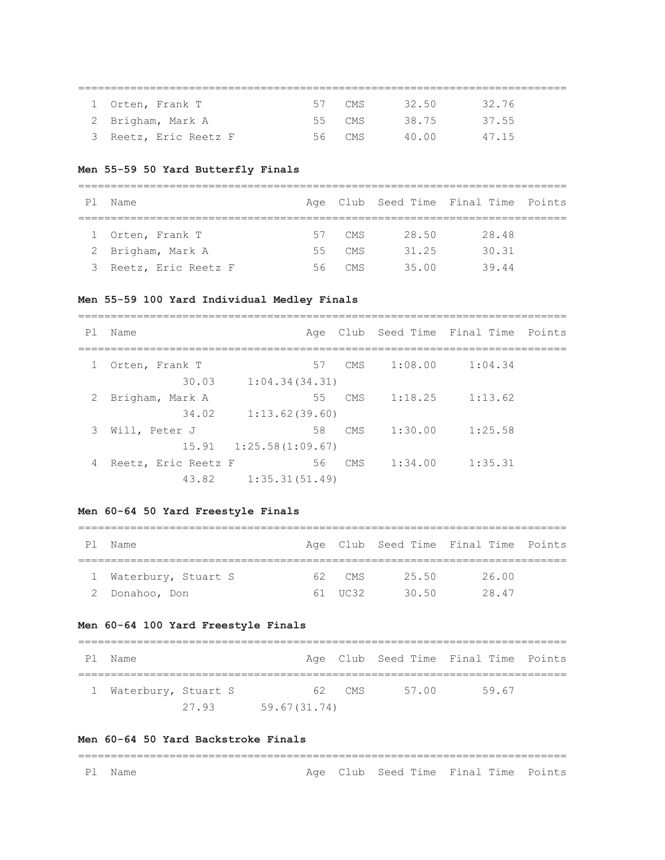| 1 Orten, Frank T      | $\sim$ $\sim$ | CMS    | 32.50 | 32.76 |  |
|-----------------------|---------------|--------|-------|-------|--|
| 2 Brigham, Mark A     |               | 55 CMS | 38.75 | 37.55 |  |
| 3 Reetz, Eric Reetz F |               | 56 CMS | 40.00 | 47.15 |  |

===========================================================================

#### **Men 55-59 50 Yard Butterfly Finals**

| P1 | Name                  |     |        |       | Age Club Seed Time Final Time Points |  |  |  |  |  |
|----|-----------------------|-----|--------|-------|--------------------------------------|--|--|--|--|--|
|    |                       |     |        |       |                                      |  |  |  |  |  |
|    | 1 Orten, Frank T      |     | 57 CMS | 28.50 | 28.48                                |  |  |  |  |  |
|    | 2 Brigham, Mark A     | 55  | CMS    | 31.25 | 30.31                                |  |  |  |  |  |
|    | 3 Reetz, Eric Reetz F | 56. | CMS.   | 35.00 | 39.44                                |  |  |  |  |  |

#### **Men 55-59 100 Yard Individual Medley Finals**

=========================================================================== Pl Name Age Club Seed Time Final Time Points =========================================================================== 1 Orten, Frank T 57 CMS 1:08.00 1:04.34 30.03 1:04.34(34.31) 2 Brigham, Mark A 55 CMS 1:18.25 1:13.62 34.02 1:13.62(39.60) 3 Will, Peter J 58 CMS 1:30.00 1:25.58 15.91 1:25.58(1:09.67) 4 Reetz, Eric Reetz F 56 CMS 1:34.00 1:35.31 43.82 1:35.31(51.49)

### **Men 60-64 50 Yard Freestyle Finals**

| Ρl | Name                  |  |         |       | Age Club Seed Time Final Time Points |  |  |  |  |  |
|----|-----------------------|--|---------|-------|--------------------------------------|--|--|--|--|--|
|    |                       |  |         |       |                                      |  |  |  |  |  |
|    | 1 Waterbury, Stuart S |  | 62 CMS  | 25.50 | 26.00                                |  |  |  |  |  |
|    | 2 Donahoo, Don        |  | 61 UC32 | 3050  | 28.47                                |  |  |  |  |  |

#### **Men 60-64 100 Yard Freestyle Finals**

| P1 | Name                  |       |              |        |       | Age Club Seed Time Final Time Points |  |  |  |
|----|-----------------------|-------|--------------|--------|-------|--------------------------------------|--|--|--|
|    | 1 Waterbury, Stuart S |       |              | 62 CMS | 57 00 | 59.67                                |  |  |  |
|    |                       | 27 93 | 59.67(31.74) |        |       |                                      |  |  |  |

#### **Men 60-64 50 Yard Backstroke Finals**

=========================================================================== Pl Name **Age Club Seed Time Final Time Points**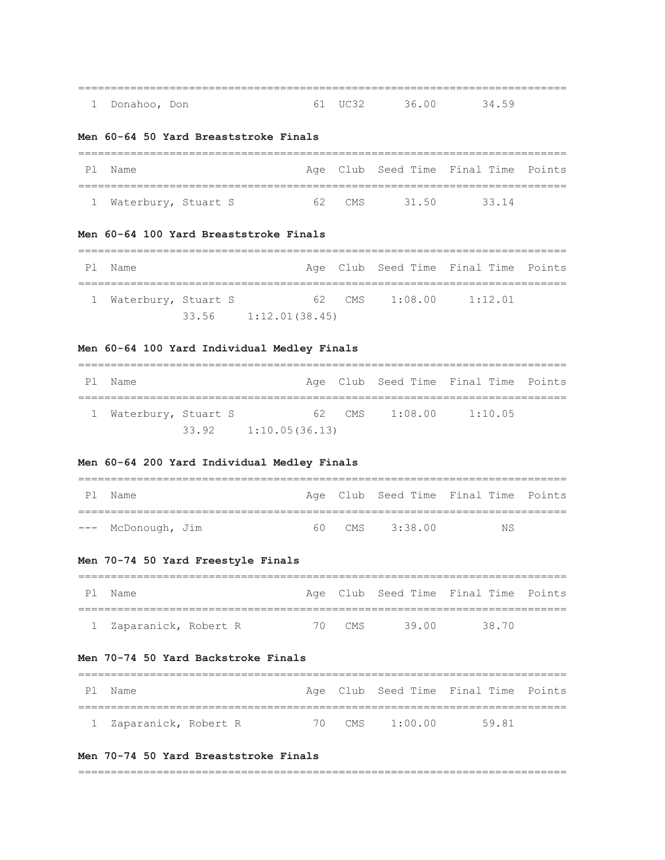| 1 Donahoo, Don |  | 61 TIC 32 36 00 34 59 |  |
|----------------|--|-----------------------|--|

### **Men 60-64 50 Yard Breaststroke Finals**

| P1 | Name                  |        |       | Age Club Seed Time Final Time Points |  |
|----|-----------------------|--------|-------|--------------------------------------|--|
|    |                       |        |       |                                      |  |
|    | 1 Waterbury, Stuart S | 62 CMS | 31.50 | 33 14                                |  |

#### **Men 60-64 100 Yard Breaststroke Finals**

=========================================================================== Pl Name **Age Club Seed Time Final Time Points** =========================================================================== 1 Waterbury, Stuart S 62 CMS 1:08.00 1:12.01 33.56 1:12.01(38.45)

### **Men 60-64 100 Yard Individual Medley Finals**

| Ρl | Name                |       |                |        |         | Age Club Seed Time Final Time Points |  |  |  |  |
|----|---------------------|-------|----------------|--------|---------|--------------------------------------|--|--|--|--|
|    | Waterbury, Stuart S |       |                | 62 CMS | 1:08.00 | 1:10.05                              |  |  |  |  |
|    |                     | 33.92 | 1:10.05(36.13) |        |         |                                      |  |  |  |  |

## **Men 60-64 200 Yard Individual Medley Finals**

| P1 | Name               |  |                | Age Club Seed Time Final Time Points |  |
|----|--------------------|--|----------------|--------------------------------------|--|
|    |                    |  |                |                                      |  |
|    | --- McDonough, Jim |  | 60 CMS 3:38.00 | NS.                                  |  |

### **Men 70-74 50 Yard Freestyle Finals**

| P 1 | Name                   |  |        |       | Age Club Seed Time Final Time Points |  |
|-----|------------------------|--|--------|-------|--------------------------------------|--|
|     |                        |  |        |       |                                      |  |
|     | 1 Zaparanick, Robert R |  | 70 CMS | 39 00 | 38 70                                |  |

## **Men 70-74 50 Yard Backstroke Finals**

| P 1 | . Name                 |  |                | Age Club Seed Time Final Time Points |  |
|-----|------------------------|--|----------------|--------------------------------------|--|
|     |                        |  |                |                                      |  |
|     | 1 Zaparanick, Robert R |  | 70 CMS 1:00.00 | 59.81                                |  |

### **Men 70-74 50 Yard Breaststroke Finals**

===========================================================================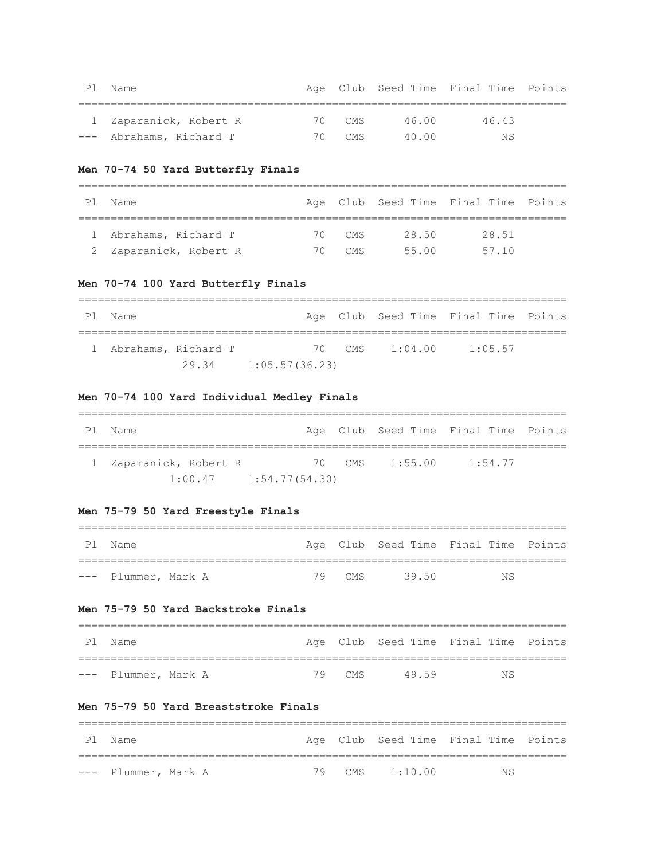| P1 | Name                    |        |        | Age Club Seed Time Final Time Points |  |
|----|-------------------------|--------|--------|--------------------------------------|--|
|    |                         |        |        |                                      |  |
|    | 1 Zaparanick, Robert R  | 70 CMS | 46.00  | 46.43                                |  |
|    | --- Abrahams, Richard T | 70 CMS | 40. QO | NS.                                  |  |

## **Men 70-74 50 Yard Butterfly Finals**

| ΡI | Name                  |    |        |       | Age Club Seed Time Final Time Points |  |  |  |  |  |
|----|-----------------------|----|--------|-------|--------------------------------------|--|--|--|--|--|
|    |                       |    |        |       |                                      |  |  |  |  |  |
|    | 1 Abrahams, Richard T |    | 70 CMS | 28.50 | 28.51                                |  |  |  |  |  |
| 2  | Zaparanick, Robert R  | 70 | CMS    | 55 00 | 57.10                                |  |  |  |  |  |

## **Men 70-74 100 Yard Butterfly Finals**

| P1 | Name |                       |                |  |                | Age Club Seed Time Final Time Points |  |  |  |  |
|----|------|-----------------------|----------------|--|----------------|--------------------------------------|--|--|--|--|
|    |      | 1 Abrahams, Richard T |                |  | 70 CMS 1:04.00 | 1:05.57                              |  |  |  |  |
|    |      | 29.34                 | 1:05.57(36.23) |  |                |                                      |  |  |  |  |

## **Men 70-74 100 Yard Individual Medley Finals**

| P1 | Name                       |  |                | Age Club Seed Time Final Time Points |  |
|----|----------------------------|--|----------------|--------------------------------------|--|
|    | 1 Zaparanick, Robert R     |  | 70 CMS 1:55.00 | 1:54.77                              |  |
|    | $1:00.47$ $1:54.77(54.30)$ |  |                |                                      |  |

## **Men 75-79 50 Yard Freestyle Finals**

| P1. | Name                |  |  |             | Age Club Seed Time Final Time Points |  |  |
|-----|---------------------|--|--|-------------|--------------------------------------|--|--|
|     |                     |  |  |             |                                      |  |  |
|     | --- Plummer, Mark A |  |  | 79 CMS 3950 | NS                                   |  |  |

## **Men 75-79 50 Yard Backstroke Finals**

| Pl Name             |  |        |       |    | Age Club Seed Time Final Time Points |
|---------------------|--|--------|-------|----|--------------------------------------|
|                     |  |        |       |    |                                      |
| --- Plummer, Mark A |  | 79 CMS | 49.59 | NS |                                      |

===========================================================================

## **Men 75-79 50 Yard Breaststroke Finals**

|  | Pl Name             |  |  |                | Age Club Seed Time Final Time Points |  |  |
|--|---------------------|--|--|----------------|--------------------------------------|--|--|
|  |                     |  |  |                |                                      |  |  |
|  | --- Plummer, Mark A |  |  | 79 CMS 1:10.00 | NS.                                  |  |  |